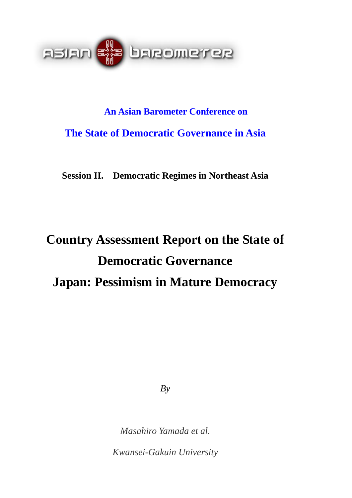

# **An Asian Barometer Conference on The State of Democratic Governance in Asia**

**Session II. Democratic Regimes in Northeast Asia** 

# **Country Assessment Report on the State of Democratic Governance Japan: Pessimism in Mature Democracy**

*By* 

*Masahiro Yamada et al.* 

*Kwansei-Gakuin University*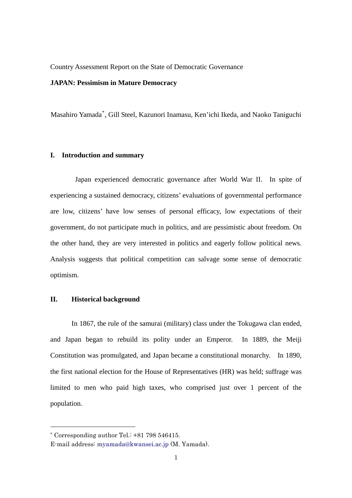Country Assessment Report on the State of Democratic Governance

# **JAPAN: Pessimism in Mature Democracy**

Masahiro Yamada[\\*](#page-1-0) , Gill Steel, Kazunori Inamasu, Ken'ichi Ikeda, and Naoko Taniguchi

# **I. Introduction and summary**

 Japan experienced democratic governance after World War II. In spite of experiencing a sustained democracy, citizens' evaluations of governmental performance are low, citizens' have low senses of personal efficacy, low expectations of their government, do not participate much in politics, and are pessimistic about freedom. On the other hand, they are very interested in politics and eagerly follow political news. Analysis suggests that political competition can salvage some sense of democratic optimism.

# **II. Historical background**

In 1867, the rule of the samurai (military) class under the Tokugawa clan ended, and Japan began to rebuild its polity under an Emperor. In 1889, the Meiji Constitution was promulgated, and Japan became a constitutional monarchy. In 1890, the first national election for the House of Representatives (HR) was held; suffrage was limited to men who paid high taxes, who comprised just over 1 percent of the population.

1

<span id="page-1-0"></span><sup>\*</sup> Corresponding author Tel.: +81 798 546415.

E-mail address: myamada@kwansei.ac.jp (M. Yamada).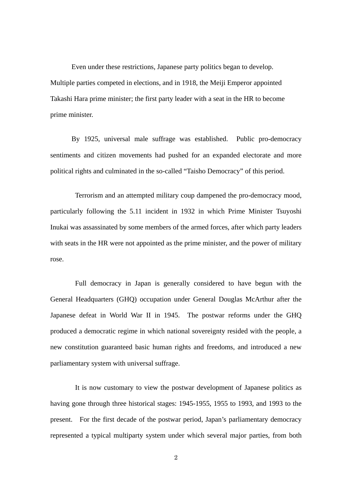Even under these restrictions, Japanese party politics began to develop. Multiple parties competed in elections, and in 1918, the Meiji Emperor appointed Takashi Hara prime minister; the first party leader with a seat in the HR to become prime minister.

By 1925, universal male suffrage was established. Public pro-democracy sentiments and citizen movements had pushed for an expanded electorate and more political rights and culminated in the so-called "Taisho Democracy" of this period.

 Terrorism and an attempted military coup dampened the pro-democracy mood, particularly following the 5.11 incident in 1932 in which Prime Minister Tsuyoshi Inukai was assassinated by some members of the armed forces, after which party leaders with seats in the HR were not appointed as the prime minister, and the power of military rose.

 Full democracy in Japan is generally considered to have begun with the General Headquarters (GHQ) occupation under General Douglas McArthur after the Japanese defeat in World War II in 1945. The postwar reforms under the GHQ produced a democratic regime in which national sovereignty resided with the people, a new constitution guaranteed basic human rights and freedoms, and introduced a new parliamentary system with universal suffrage.

 It is now customary to view the postwar development of Japanese politics as having gone through three historical stages: 1945-1955, 1955 to 1993, and 1993 to the present. For the first decade of the postwar period, Japan's parliamentary democracy represented a typical multiparty system under which several major parties, from both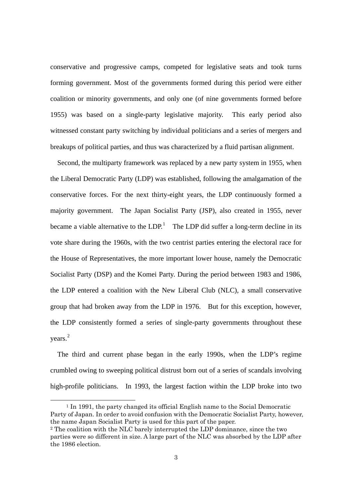conservative and progressive camps, competed for legislative seats and took turns forming government. Most of the governments formed during this period were either coalition or minority governments, and only one (of nine governments formed before 1955) was based on a single-party legislative majority. This early period also witnessed constant party switching by individual politicians and a series of mergers and breakups of political parties, and thus was characterized by a fluid partisan alignment.

Second, the multiparty framework was replaced by a new party system in 1955, when the Liberal Democratic Party (LDP) was established, following the amalgamation of the conservative forces. For the next thirty-eight years, the LDP continuously formed a majority government. The Japan Socialist Party (JSP), also created in 1955, never became a viable alternative to the  $LDP<sup>1</sup>$  $LDP<sup>1</sup>$  $LDP<sup>1</sup>$  The LDP did suffer a long-term decline in its vote share during the 1960s, with the two centrist parties entering the electoral race for the House of Representatives, the more important lower house, namely the Democratic Socialist Party (DSP) and the Komei Party. During the period between 1983 and 1986, the LDP entered a coalition with the New Liberal Club (NLC), a small conservative group that had broken away from the LDP in 1976. But for this exception, however, the LDP consistently formed a series of single-party governments throughout these years. [2](#page-3-1)

The third and current phase began in the early 1990s, when the LDP's regime crumbled owing to sweeping political distrust born out of a series of scandals involving high-profile politicians. In 1993, the largest faction within the LDP broke into two

<span id="page-3-0"></span> <sup>1</sup> In 1991, the party changed its official English name to the Social Democratic Party of Japan. In order to avoid confusion with the Democratic Socialist Party, however, the name Japan Socialist Party is used for this part of the paper.

<span id="page-3-1"></span><sup>2</sup> The coalition with the NLC barely interrupted the LDP dominance, since the two parties were so different in size. A large part of the NLC was absorbed by the LDP after the 1986 election.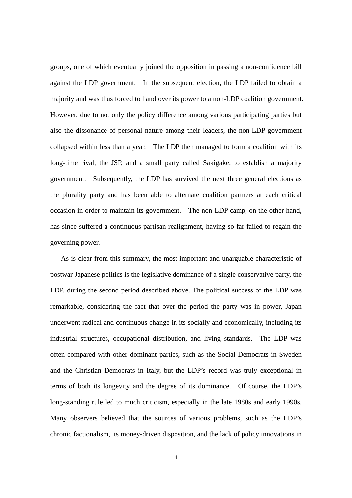groups, one of which eventually joined the opposition in passing a non-confidence bill against the LDP government. In the subsequent election, the LDP failed to obtain a majority and was thus forced to hand over its power to a non-LDP coalition government. However, due to not only the policy difference among various participating parties but also the dissonance of personal nature among their leaders, the non-LDP government collapsed within less than a year. The LDP then managed to form a coalition with its long-time rival, the JSP, and a small party called Sakigake, to establish a majority government. Subsequently, the LDP has survived the next three general elections as the plurality party and has been able to alternate coalition partners at each critical occasion in order to maintain its government. The non-LDP camp, on the other hand, has since suffered a continuous partisan realignment, having so far failed to regain the governing power.

 As is clear from this summary, the most important and unarguable characteristic of postwar Japanese politics is the legislative dominance of a single conservative party, the LDP, during the second period described above. The political success of the LDP was remarkable, considering the fact that over the period the party was in power, Japan underwent radical and continuous change in its socially and economically, including its industrial structures, occupational distribution, and living standards. The LDP was often compared with other dominant parties, such as the Social Democrats in Sweden and the Christian Democrats in Italy, but the LDP's record was truly exceptional in terms of both its longevity and the degree of its dominance. Of course, the LDP's long-standing rule led to much criticism, especially in the late 1980s and early 1990s. Many observers believed that the sources of various problems, such as the LDP's chronic factionalism, its money-driven disposition, and the lack of policy innovations in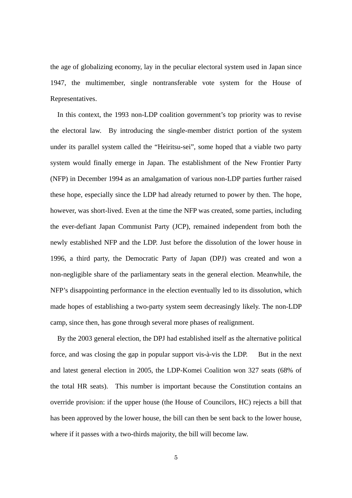the age of globalizing economy, lay in the peculiar electoral system used in Japan since 1947, the multimember, single nontransferable vote system for the House of Representatives.

In this context, the 1993 non-LDP coalition government's top priority was to revise the electoral law. By introducing the single-member district portion of the system under its parallel system called the "Heiritsu-sei", some hoped that a viable two party system would finally emerge in Japan. The establishment of the New Frontier Party (NFP) in December 1994 as an amalgamation of various non-LDP parties further raised these hope, especially since the LDP had already returned to power by then. The hope, however, was short-lived. Even at the time the NFP was created, some parties, including the ever-defiant Japan Communist Party (JCP), remained independent from both the newly established NFP and the LDP. Just before the dissolution of the lower house in 1996, a third party, the Democratic Party of Japan (DPJ) was created and won a non-negligible share of the parliamentary seats in the general election. Meanwhile, the NFP's disappointing performance in the election eventually led to its dissolution, which made hopes of establishing a two-party system seem decreasingly likely. The non-LDP camp, since then, has gone through several more phases of realignment.

By the 2003 general election, the DPJ had established itself as the alternative political force, and was closing the gap in popular support vis-à-vis the LDP. But in the next and latest general election in 2005, the LDP-Komei Coalition won 327 seats (68% of the total HR seats). This number is important because the Constitution contains an override provision: if the upper house (the House of Councilors, HC) rejects a bill that has been approved by the lower house, the bill can then be sent back to the lower house, where if it passes with a two-thirds majority, the bill will become law.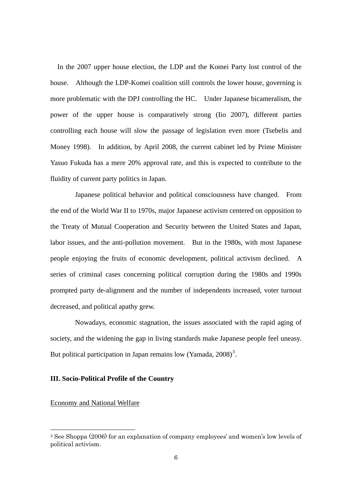In the 2007 upper house election, the LDP and the Komei Party lost control of the house. Although the LDP-Komei coalition still controls the lower house, governing is more problematic with the DPJ controlling the HC. Under Japanese bicameralism, the power of the upper house is comparatively strong (Iio 2007), different parties controlling each house will slow the passage of legislation even more (Tsebelis and Money 1998). In addition, by April 2008, the current cabinet led by Prime Minister Yasuo Fukuda has a mere 20% approval rate, and this is expected to contribute to the fluidity of current party politics in Japan.

 Japanese political behavior and political consciousness have changed. From the end of the World War II to 1970s, major Japanese activism centered on opposition to the Treaty of Mutual Cooperation and Security between the United States and Japan, labor issues, and the anti-pollution movement. But in the 1980s, with most Japanese people enjoying the fruits of economic development, political activism declined. A series of criminal cases concerning political corruption during the 1980s and 1990s prompted party de-alignment and the number of independents increased, voter turnout decreased, and political apathy grew.

 Nowadays, economic stagnation, the issues associated with the rapid aging of society, and the widening the gap in living standards make Japanese people feel uneasy. But political participation in Japan remains low (Yamada,  $2008$ )<sup>[3](#page-6-0)</sup>.

#### **III. Socio-Political Profile of the Country**

# Economy and National Welfare

-

<span id="page-6-0"></span><sup>3</sup> See Shoppa (2006) for an explanation of company employees' and women's low levels of political activism.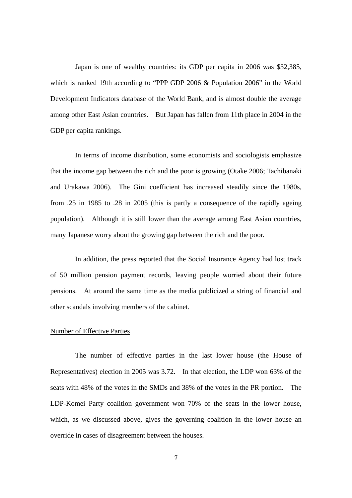Japan is one of wealthy countries: its GDP per capita in 2006 was \$32,385, which is ranked 19th according to "PPP GDP 2006 & Population 2006" in the World Development Indicators database of the World Bank, and is almost double the average among other East Asian countries. But Japan has fallen from 11th place in 2004 in the GDP per capita rankings.

 In terms of income distribution, some economists and sociologists emphasize that the income gap between the rich and the poor is growing (Otake 2006; Tachibanaki and Urakawa 2006). The Gini coefficient has increased steadily since the 1980s, from .25 in 1985 to .28 in 2005 (this is partly a consequence of the rapidly ageing population). Although it is still lower than the average among East Asian countries, many Japanese worry about the growing gap between the rich and the poor.

In addition, the press reported that the Social Insurance Agency had lost track of 50 million pension payment records, leaving people worried about their future pensions. At around the same time as the media publicized a string of financial and other scandals involving members of the cabinet.

#### Number of Effective Parties

 The number of effective parties in the last lower house (the House of Representatives) election in 2005 was 3.72. In that election, the LDP won 63% of the seats with 48% of the votes in the SMDs and 38% of the votes in the PR portion. The LDP-Komei Party coalition government won 70% of the seats in the lower house, which, as we discussed above, gives the governing coalition in the lower house an override in cases of disagreement between the houses.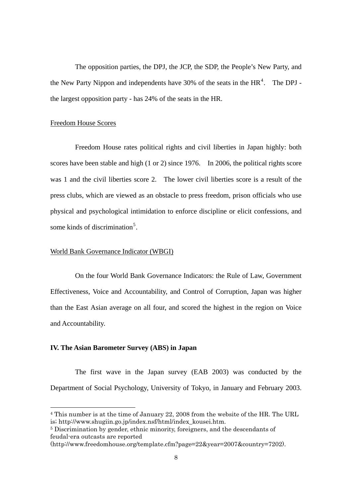The opposition parties, the DPJ, the JCP, the SDP, the People's New Party, and the New Party Nippon and independents have 30% of the seats in the  $HR<sup>4</sup>$  $HR<sup>4</sup>$  $HR<sup>4</sup>$ . The DPJ the largest opposition party - has 24% of the seats in the HR.

# Freedom House Scores

 Freedom House rates political rights and civil liberties in Japan highly: both scores have been stable and high (1 or 2) since 1976. In 2006, the political rights score was 1 and the civil liberties score 2. The lower civil liberties score is a result of the press clubs, which are viewed as an obstacle to press freedom, prison officials who use physical and psychological intimidation to enforce discipline or elicit confessions, and some kinds of discrimination<sup>[5](#page-8-1)</sup>.

# World Bank Governance Indicator (WBGI)

 On the four World Bank Governance Indicators: the Rule of Law, Government Effectiveness, Voice and Accountability, and Control of Corruption, Japan was higher than the East Asian average on all four, and scored the highest in the region on Voice and Accountability.

# **IV. The Asian Barometer Survey (ABS) in Japan**

-

The first wave in the Japan survey (EAB 2003) was conducted by the Department of Social Psychology, University of Tokyo, in January and February 2003.

<span id="page-8-0"></span><sup>4</sup> This number is at the time of January 22, 2008 from the website of the HR. The URL is; http://www.shugiin.go.jp/index.nsf/html/index\_kousei.htm.

<span id="page-8-1"></span><sup>5</sup> Discrimination by gender, ethnic minority, foreigners, and the descendants of feudal-era outcasts are reported

<sup>(</sup>http://www.freedomhouse.org/template.cfm?page=22&year=2007&country=7202).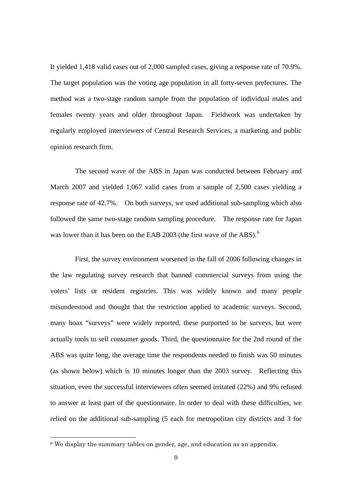It yielded 1,418 valid cases out of 2,000 sampled cases, giving a response rate of 70.9%. The target population was the voting age population in all forty-seven prefectures. The method was a two-stage random sample from the population of individual males and females twenty years and older throughout Japan. Fieldwork was undertaken by regularly employed interviewers of Central Research Services, a marketing and public opinion research firm.

The second wave of the ABS in Japan was conducted between February and March 2007 and yielded 1,067 valid cases from a sample of 2,500 cases yielding a response rate of 42.7%. On both surveys, we used additional sub-sampling which also followed the same two-stage random sampling procedure. The response rate for Japan was lower than it has been on the EAB 2003 (the first wave of the ABS).<sup>[6](#page-9-0)</sup>

First, the survey environment worsened in the fall of 2006 following changes in the law regulating survey research that banned commercial surveys from using the voters' lists or resident registries. This was widely known and many people misunderstood and thought that the restriction applied to academic surveys. Second, many hoax "surveys" were widely reported, these purported to be surveys, but were actually tools to sell consumer goods. Third, the questionnaire for the 2nd round of the ABS was quite long, the average time the respondents needed to finish was 50 minutes (as shown below) which is 10 minutes longer than the 2003 survey. Reflecting this situation, even the successful interviewees often seemed irritated (22%) and 9% refused to answer at least part of the questionnaire. In order to deal with these difficulties, we relied on the additional sub-sampling (5 each for metropolitan city districts and 3 for

-

<span id="page-9-0"></span><sup>6</sup> We display the summary tables on gender, age, and education as an appendix.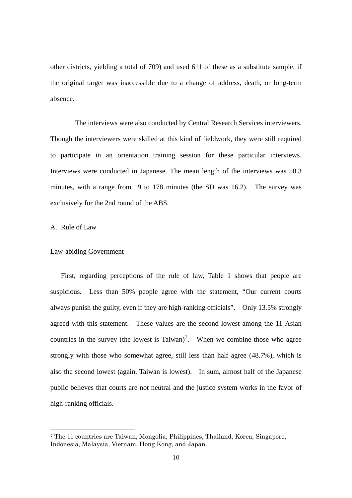other districts, yielding a total of 709) and used 611 of these as a substitute sample, if the original target was inaccessible due to a change of address, death, or long-term absence.

The interviews were also conducted by Central Research Services interviewers. Though the interviewers were skilled at this kind of fieldwork, they were still required to participate in an orientation training session for these particular interviews. Interviews were conducted in Japanese. The mean length of the interviews was 50.3 minutes, with a range from 19 to 178 minutes (the SD was 16.2). The survey was exclusively for the 2nd round of the ABS.

A. Rule of Law

-

# Law-abiding Government

First, regarding perceptions of the rule of law, Table 1 shows that people are suspicious. Less than 50% people agree with the statement, "Our current courts always punish the guilty, even if they are high-ranking officials". Only 13.5% strongly agreed with this statement. These values are the second lowest among the 11 Asian countries in the survey (the lowest is Taiwan)<sup>[7](#page-10-0)</sup>. When we combine those who agree strongly with those who somewhat agree, still less than half agree (48.7%), which is also the second lowest (again, Taiwan is lowest). In sum, almost half of the Japanese public believes that courts are not neutral and the justice system works in the favor of high-ranking officials.

<span id="page-10-0"></span><sup>7</sup> The 11 countries are Taiwan, Mongolia, Philippines, Thailand, Korea, Singapore, Indonesia, Malaysia, Vietnam, Hong Kong, and Japan.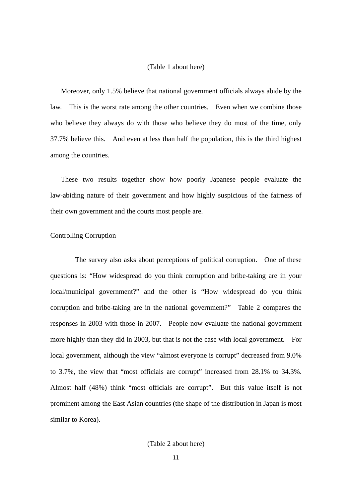#### (Table 1 about here)

Moreover, only 1.5% believe that national government officials always abide by the law. This is the worst rate among the other countries. Even when we combine those who believe they always do with those who believe they do most of the time, only 37.7% believe this. And even at less than half the population, this is the third highest among the countries.

These two results together show how poorly Japanese people evaluate the law-abiding nature of their government and how highly suspicious of the fairness of their own government and the courts most people are.

# Controlling Corruption

The survey also asks about perceptions of political corruption. One of these questions is: "How widespread do you think corruption and bribe-taking are in your local/municipal government?" and the other is "How widespread do you think corruption and bribe-taking are in the national government?" Table 2 compares the responses in 2003 with those in 2007. People now evaluate the national government more highly than they did in 2003, but that is not the case with local government. For local government, although the view "almost everyone is corrupt" decreased from 9.0% to 3.7%, the view that "most officials are corrupt" increased from 28.1% to 34.3%. Almost half (48%) think "most officials are corrupt". But this value itself is not prominent among the East Asian countries (the shape of the distribution in Japan is most similar to Korea).

# (Table 2 about here)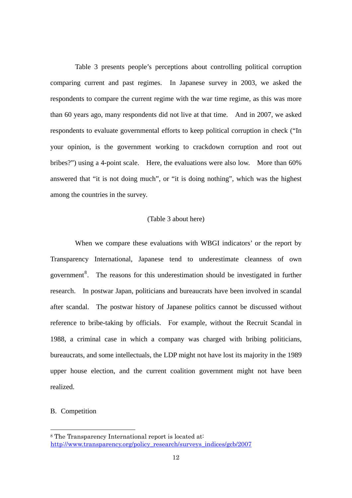Table 3 presents people's perceptions about controlling political corruption comparing current and past regimes. In Japanese survey in 2003, we asked the respondents to compare the current regime with the war time regime, as this was more than 60 years ago, many respondents did not live at that time. And in 2007, we asked respondents to evaluate governmental efforts to keep political corruption in check ("In your opinion, is the government working to crackdown corruption and root out bribes?") using a 4-point scale. Here, the evaluations were also low. More than 60% answered that "it is not doing much", or "it is doing nothing", which was the highest among the countries in the survey.

# (Table 3 about here)

When we compare these evaluations with WBGI indicators' or the report by Transparency International, Japanese tend to underestimate cleanness of own government<sup>[8](#page-12-0)</sup>. The reasons for this underestimation should be investigated in further research. In postwar Japan, politicians and bureaucrats have been involved in scandal after scandal. The postwar history of Japanese politics cannot be discussed without reference to bribe-taking by officials. For example, without the Recruit Scandal in 1988, a criminal case in which a company was charged with bribing politicians, bureaucrats, and some intellectuals, the LDP might not have lost its majority in the 1989 upper house election, and the current coalition government might not have been realized.

#### B. Competition

-

<span id="page-12-0"></span><sup>8</sup> The Transparency International report is located at: [http://www.transparency.org/policy\\_research/surveys\\_indices/gcb/2007](http://www.transparency.org/policy_research/surveys_indices/gcb/2007)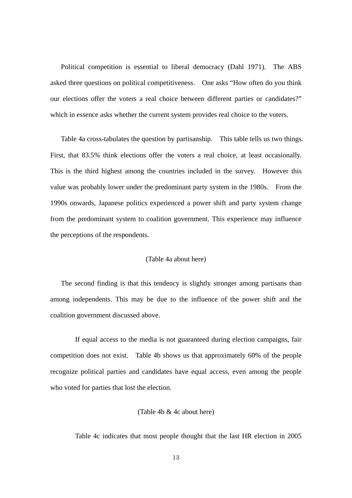Political competition is essential to liberal democracy (Dahl 1971). The ABS asked three questions on political competitiveness. One asks "How often do you think our elections offer the voters a real choice between different parties or candidates?" which in essence asks whether the current system provides real choice to the voters.

Table 4a cross-tabulates the question by partisanship. This table tells us two things. First, that 83.5% think elections offer the voters a real choice, at least occasionally. This is the third highest among the countries included in the survey. However this value was probably lower under the predominant party system in the 1980s. From the 1990s onwards, Japanese politics experienced a power shift and party system change from the predominant system to coalition government. This experience may influence the perceptions of the respondents.

# (Table 4a about here)

The second finding is that this tendency is slightly stronger among partisans than among independents. This may be due to the influence of the power shift and the coalition government discussed above.

 If equal access to the media is not guaranteed during election campaigns, fair competition does not exist. Table 4b shows us that approximately 60% of the people recognize political parties and candidates have equal access, even among the people who voted for parties that lost the election.

# (Table 4b & 4c about here)

Table 4c indicates that most people thought that the last HR election in 2005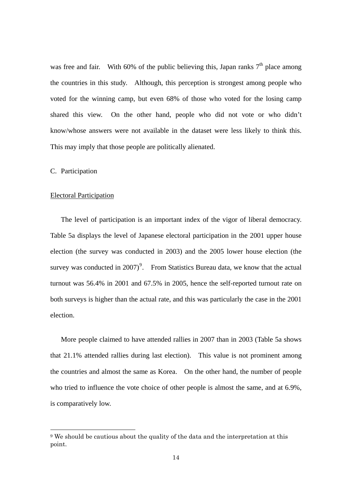was free and fair. With 60% of the public believing this, Japan ranks  $7<sup>th</sup>$  place among the countries in this study. Although, this perception is strongest among people who voted for the winning camp, but even 68% of those who voted for the losing camp shared this view. On the other hand, people who did not vote or who didn't know/whose answers were not available in the dataset were less likely to think this. This may imply that those people are politically alienated.

# C. Participation

-

## Electoral Participation

The level of participation is an important index of the vigor of liberal democracy. Table 5a displays the level of Japanese electoral participation in the 2001 upper house election (the survey was conducted in 2003) and the 2005 lower house election (the survey was conducted in 2007)<sup>[9](#page-14-0)</sup>. From Statistics Bureau data, we know that the actual turnout was 56.4% in 2001 and 67.5% in 2005, hence the self-reported turnout rate on both surveys is higher than the actual rate, and this was particularly the case in the 2001 election.

More people claimed to have attended rallies in 2007 than in 2003 (Table 5a shows that 21.1% attended rallies during last election). This value is not prominent among the countries and almost the same as Korea. On the other hand, the number of people who tried to influence the vote choice of other people is almost the same, and at 6.9%, is comparatively low.

<span id="page-14-0"></span><sup>9</sup> We should be cautious about the quality of the data and the interpretation at this point.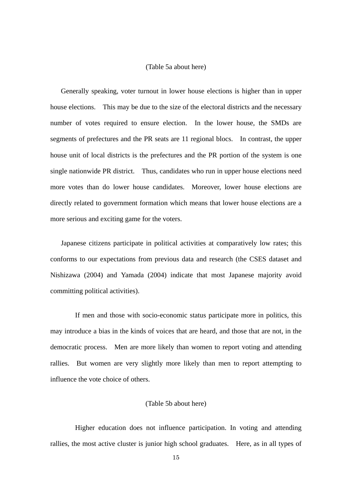#### (Table 5a about here)

Generally speaking, voter turnout in lower house elections is higher than in upper house elections. This may be due to the size of the electoral districts and the necessary number of votes required to ensure election. In the lower house, the SMDs are segments of prefectures and the PR seats are 11 regional blocs. In contrast, the upper house unit of local districts is the prefectures and the PR portion of the system is one single nationwide PR district. Thus, candidates who run in upper house elections need more votes than do lower house candidates. Moreover, lower house elections are directly related to government formation which means that lower house elections are a more serious and exciting game for the voters.

Japanese citizens participate in political activities at comparatively low rates; this conforms to our expectations from previous data and research (the CSES dataset and Nishizawa (2004) and Yamada (2004) indicate that most Japanese majority avoid committing political activities).

 If men and those with socio-economic status participate more in politics, this may introduce a bias in the kinds of voices that are heard, and those that are not, in the democratic process. Men are more likely than women to report voting and attending rallies. But women are very slightly more likely than men to report attempting to influence the vote choice of others.

#### (Table 5b about here)

 Higher education does not influence participation. In voting and attending rallies, the most active cluster is junior high school graduates. Here, as in all types of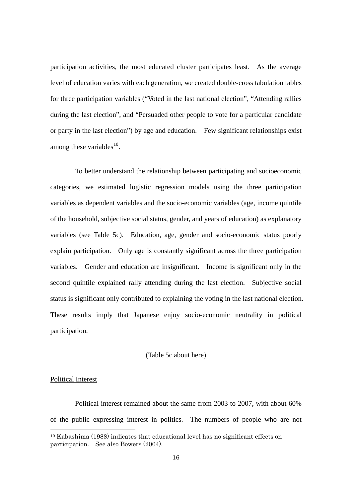participation activities, the most educated cluster participates least. As the average level of education varies with each generation, we created double-cross tabulation tables for three participation variables ("Voted in the last national election", "Attending rallies during the last election", and "Persuaded other people to vote for a particular candidate or party in the last election") by age and education. Few significant relationships exist among these variables $^{10}$  $^{10}$  $^{10}$ .

 To better understand the relationship between participating and socioeconomic categories, we estimated logistic regression models using the three participation variables as dependent variables and the socio-economic variables (age, income quintile of the household, subjective social status, gender, and years of education) as explanatory variables (see Table 5c). Education, age, gender and socio-economic status poorly explain participation. Only age is constantly significant across the three participation variables. Gender and education are insignificant. Income is significant only in the second quintile explained rally attending during the last election. Subjective social status is significant only contributed to explaining the voting in the last national election. These results imply that Japanese enjoy socio-economic neutrality in political participation.

# (Table 5c about here)

# Political Interest

-

Political interest remained about the same from 2003 to 2007, with about 60% of the public expressing interest in politics. The numbers of people who are not

<span id="page-16-0"></span><sup>10</sup> Kabashima (1988) indicates that educational level has no significant effects on participation. See also Bowers (2004).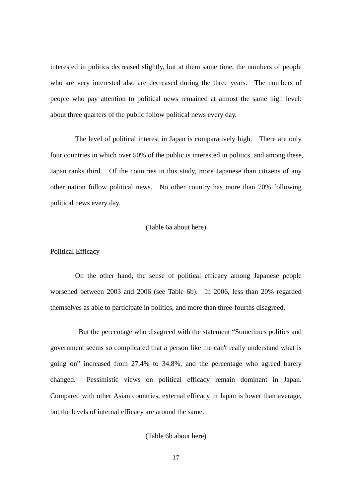interested in politics decreased slightly, but at them same time, the numbers of people who are very interested also are decreased during the three years. The numbers of people who pay attention to political news remained at almost the same high level: about three quarters of the public follow political news every day.

The level of political interest in Japan is comparatively high. There are only four countries in which over 50% of the public is interested in politics, and among these, Japan ranks third. Of the countries in this study, more Japanese than citizens of any other nation follow political news. No other country has more than 70% following political news every day.

# (Table 6a about here)

#### Political Efficacy

 On the other hand, the sense of political efficacy among Japanese people worsened between 2003 and 2006 (see Table 6b). In 2006, less than 20% regarded themselves as able to participate in politics, and more than three-fourths disagreed.

 But the percentage who disagreed with the statement "Sometimes politics and government seems so complicated that a person like me can't really understand what is going on" increased from 27.4% to 34.8%, and the percentage who agreed barely changed. Pessimistic views on political efficacy remain dominant in Japan. Compared with other Asian countries, external efficacy in Japan is lower than average, but the levels of internal efficacy are around the same.

(Table 6b about here)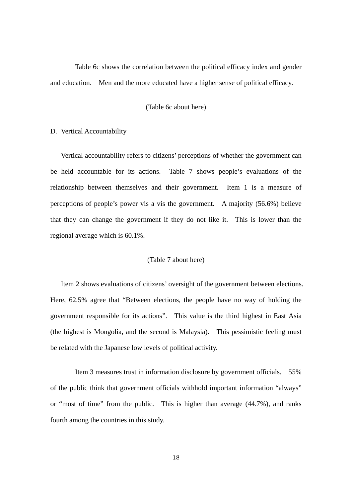Table 6c shows the correlation between the political efficacy index and gender and education. Men and the more educated have a higher sense of political efficacy.

# (Table 6c about here)

# D. Vertical Accountability

Vertical accountability refers to citizens' perceptions of whether the government can be held accountable for its actions. Table 7 shows people's evaluations of the relationship between themselves and their government. Item 1 is a measure of perceptions of people's power vis a vis the government. A majority (56.6%) believe that they can change the government if they do not like it. This is lower than the regional average which is 60.1%.

#### (Table 7 about here)

Item 2 shows evaluations of citizens' oversight of the government between elections. Here, 62.5% agree that "Between elections, the people have no way of holding the government responsible for its actions". This value is the third highest in East Asia (the highest is Mongolia, and the second is Malaysia). This pessimistic feeling must be related with the Japanese low levels of political activity.

 Item 3 measures trust in information disclosure by government officials. 55% of the public think that government officials withhold important information "always" or "most of time" from the public. This is higher than average (44.7%), and ranks fourth among the countries in this study.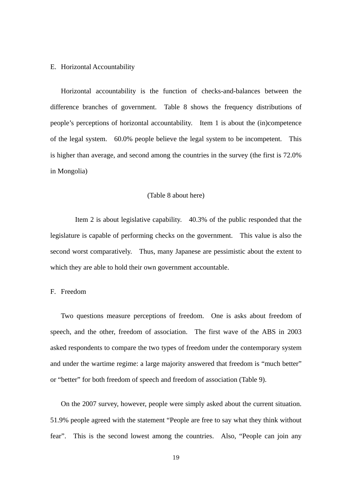# E. Horizontal Accountability

Horizontal accountability is the function of checks-and-balances between the difference branches of government. Table 8 shows the frequency distributions of people's perceptions of horizontal accountability. Item 1 is about the (in)competence of the legal system. 60.0% people believe the legal system to be incompetent. This is higher than average, and second among the countries in the survey (the first is 72.0% in Mongolia)

#### (Table 8 about here)

 Item 2 is about legislative capability. 40.3% of the public responded that the legislature is capable of performing checks on the government. This value is also the second worst comparatively. Thus, many Japanese are pessimistic about the extent to which they are able to hold their own government accountable.

# F. Freedom

Two questions measure perceptions of freedom. One is asks about freedom of speech, and the other, freedom of association. The first wave of the ABS in 2003 asked respondents to compare the two types of freedom under the contemporary system and under the wartime regime: a large majority answered that freedom is "much better" or "better" for both freedom of speech and freedom of association (Table 9).

On the 2007 survey, however, people were simply asked about the current situation. 51.9% people agreed with the statement "People are free to say what they think without fear". This is the second lowest among the countries. Also, "People can join any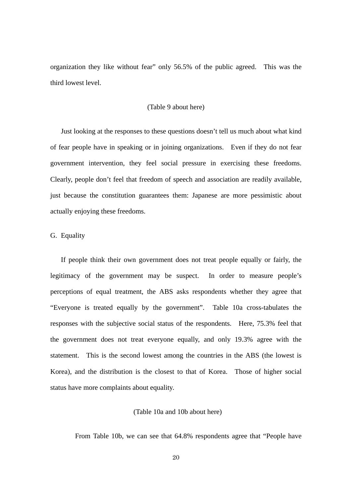organization they like without fear" only 56.5% of the public agreed. This was the third lowest level.

# (Table 9 about here)

Just looking at the responses to these questions doesn't tell us much about what kind of fear people have in speaking or in joining organizations. Even if they do not fear government intervention, they feel social pressure in exercising these freedoms. Clearly, people don't feel that freedom of speech and association are readily available, just because the constitution guarantees them: Japanese are more pessimistic about actually enjoying these freedoms.

# G. Equality

If people think their own government does not treat people equally or fairly, the legitimacy of the government may be suspect. In order to measure people's perceptions of equal treatment, the ABS asks respondents whether they agree that "Everyone is treated equally by the government". Table 10a cross-tabulates the responses with the subjective social status of the respondents. Here, 75.3% feel that the government does not treat everyone equally, and only 19.3% agree with the statement. This is the second lowest among the countries in the ABS (the lowest is Korea), and the distribution is the closest to that of Korea. Those of higher social status have more complaints about equality.

# (Table 10a and 10b about here)

From Table 10b, we can see that 64.8% respondents agree that "People have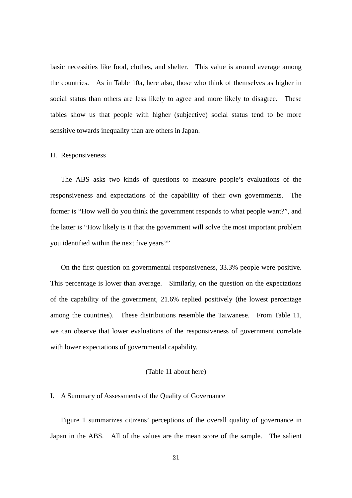basic necessities like food, clothes, and shelter. This value is around average among the countries. As in Table 10a, here also, those who think of themselves as higher in social status than others are less likely to agree and more likely to disagree. These tables show us that people with higher (subjective) social status tend to be more sensitive towards inequality than are others in Japan.

#### H. Responsiveness

The ABS asks two kinds of questions to measure people's evaluations of the responsiveness and expectations of the capability of their own governments. The former is "How well do you think the government responds to what people want?", and the latter is "How likely is it that the government will solve the most important problem you identified within the next five years?"

On the first question on governmental responsiveness, 33.3% people were positive. This percentage is lower than average. Similarly, on the question on the expectations of the capability of the government, 21.6% replied positively (the lowest percentage among the countries). These distributions resemble the Taiwanese. From Table 11, we can observe that lower evaluations of the responsiveness of government correlate with lower expectations of governmental capability.

## (Table 11 about here)

# I. A Summary of Assessments of the Quality of Governance

Figure 1 summarizes citizens' perceptions of the overall quality of governance in Japan in the ABS. All of the values are the mean score of the sample. The salient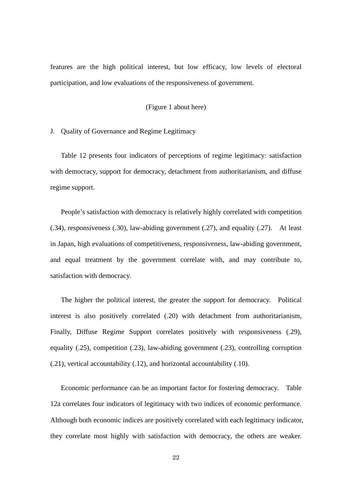features are the high political interest, but low efficacy, low levels of electoral participation, and low evaluations of the responsiveness of government.

# (Figure 1 about here)

J. Quality of Governance and Regime Legitimacy

Table 12 presents four indicators of perceptions of regime legitimacy: satisfaction with democracy, support for democracy, detachment from authoritarianism, and diffuse regime support.

People's satisfaction with democracy is relatively highly correlated with competition (.34), responsiveness (.30), law-abiding government (.27), and equality (.27). At least in Japan, high evaluations of competitiveness, responsiveness, law-abiding government, and equal treatment by the government correlate with, and may contribute to, satisfaction with democracy.

The higher the political interest, the greater the support for democracy. Political interest is also positively correlated (.20) with detachment from authoritarianism, Finally, Diffuse Regime Support correlates positively with responsiveness (.29), equality (.25), competition (.23), law-abiding government (.23), controlling corruption (.21), vertical accountability (.12), and horizontal accountability (.10).

Economic performance can be an important factor for fostering democracy. Table 12a correlates four indicators of legitimacy with two indices of economic performance. Although both economic indices are positively correlated with each legitimacy indicator, they correlate most highly with satisfaction with democracy, the others are weaker.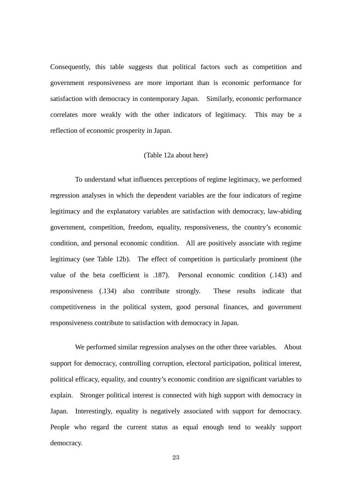Consequently, this table suggests that political factors such as competition and government responsiveness are more important than is economic performance for satisfaction with democracy in contemporary Japan. Similarly, economic performance correlates more weakly with the other indicators of legitimacy. This may be a reflection of economic prosperity in Japan.

# (Table 12a about here)

 To understand what influences perceptions of regime legitimacy, we performed regression analyses in which the dependent variables are the four indicators of regime legitimacy and the explanatory variables are satisfaction with democracy, law-abiding government, competition, freedom, equality, responsiveness, the country's economic condition, and personal economic condition. All are positively associate with regime legitimacy (see Table 12b). The effect of competition is particularly prominent (the value of the beta coefficient is .187). Personal economic condition (.143) and responsiveness (.134) also contribute strongly. These results indicate that competitiveness in the political system, good personal finances, and government responsiveness contribute to satisfaction with democracy in Japan.

We performed similar regression analyses on the other three variables. About support for democracy, controlling corruption, electoral participation, political interest, political efficacy, equality, and country's economic condition are significant variables to explain. Stronger political interest is connected with high support with democracy in Japan. Interestingly, equality is negatively associated with support for democracy. People who regard the current status as equal enough tend to weakly support democracy.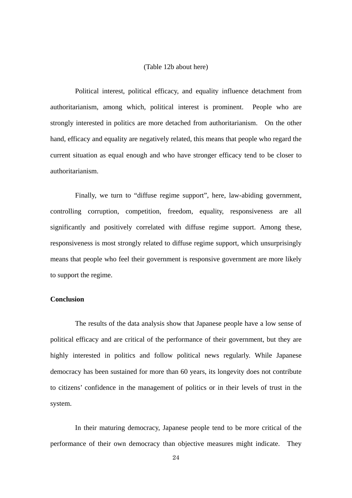# (Table 12b about here)

 Political interest, political efficacy, and equality influence detachment from authoritarianism, among which, political interest is prominent. People who are strongly interested in politics are more detached from authoritarianism. On the other hand, efficacy and equality are negatively related, this means that people who regard the current situation as equal enough and who have stronger efficacy tend to be closer to authoritarianism.

 Finally, we turn to "diffuse regime support", here, law-abiding government, controlling corruption, competition, freedom, equality, responsiveness are all significantly and positively correlated with diffuse regime support. Among these, responsiveness is most strongly related to diffuse regime support, which unsurprisingly means that people who feel their government is responsive government are more likely to support the regime.

# **Conclusion**

 The results of the data analysis show that Japanese people have a low sense of political efficacy and are critical of the performance of their government, but they are highly interested in politics and follow political news regularly. While Japanese democracy has been sustained for more than 60 years, its longevity does not contribute to citizens' confidence in the management of politics or in their levels of trust in the system.

 In their maturing democracy, Japanese people tend to be more critical of the performance of their own democracy than objective measures might indicate. They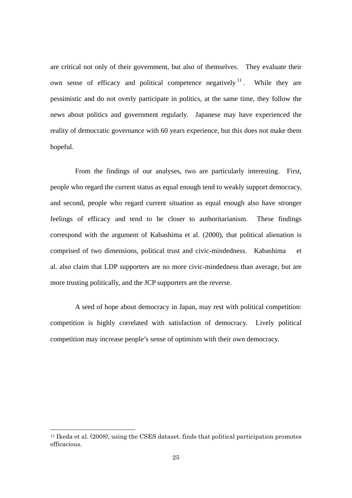<span id="page-25-0"></span>are critical not only of their government, but also of themselves. They evaluate their own sense of efficacy and political competence negatively  $11$ . While they are pessimistic and do not overly participate in politics, at the same time, they follow the news about politics and government regularly. Japanese may have experienced the reality of democratic governance with 60 years experience, but this does not make them hopeful.

 From the findings of our analyses, two are particularly interesting. First, people who regard the current status as equal enough tend to weakly support democracy, and second, people who regard current situation as equal enough also have stronger feelings of efficacy and tend to be closer to authoritarianism. These findings correspond with the argument of Kabashima et al. (2000), that political alienation is comprised of two dimensions, political trust and civic-mindedness. Kabashima et al. also claim that LDP supporters are no more civic-mindedness than average, but are more trusting politically, and the JCP supporters are the reverse.

 A seed of hope about democracy in Japan, may rest with political competition: competition is highly correlated with satisfaction of democracy. Lively political competition may increase people's sense of optimism with their own democracy.

-

<sup>11</sup> Ikeda et al. (2008), using the CSES dataset. finds that political participation promotes efficacious.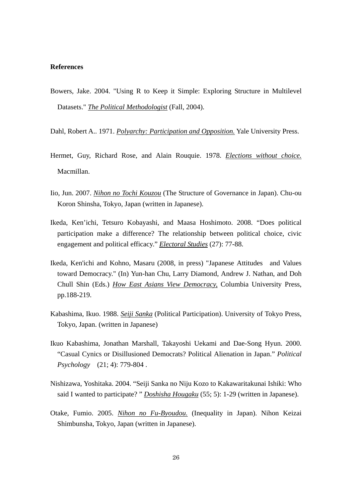# **References**

- Bowers, Jake. 2004. "Using R to Keep it Simple: Exploring Structure in Multilevel Datasets." *The Political Methodologist* (Fall, 2004).
- Dahl, Robert A.. 1971. *Polyarchy: Participation and Opposition.* Yale University Press.
- Hermet, Guy, Richard Rose, and Alain Rouquie. 1978. *Elections without choice.* Macmillan.
- Iio, Jun. 2007. *Nihon no Tochi Kouzou* (The Structure of Governance in Japan). Chu-ou Koron Shinsha, Tokyo, Japan (written in Japanese).
- Ikeda, Ken'ichi, Tetsuro Kobayashi, and Maasa Hoshimoto. 2008. "Does political participation make a difference? The relationship between political choice, civic engagement and political efficacy." *Electoral Studies* (27): 77-88.
- Ikeda, Ken'ichi and Kohno, Masaru (2008, in press) "Japanese Attitudes and Values toward Democracy." (In) Yun-han Chu, Larry Diamond, Andrew J. Nathan, and Doh Chull Shin (Eds.) *How East Asians View Democracy,* Columbia University Press, pp.188-219.
- Kabashima, Ikuo. 1988. *Seiji Sanka* (Political Participation). University of Tokyo Press, Tokyo, Japan. (written in Japanese)
- Ikuo Kabashima, Jonathan Marshall, Takayoshi Uekami and Dae-Song Hyun. 2000. "Casual Cynics or Disillusioned Democrats? Political Alienation in Japan." *Political Psychology* (21; 4): 779-804 .
- Nishizawa, Yoshitaka. 2004. "Seiji Sanka no Niju Kozo to Kakawaritakunai Ishiki: Who said I wanted to participate? " *Doshisha Hougaku* (55; 5): 1-29 (written in Japanese).
- Otake, Fumio. 2005. *Nihon no Fu-Byoudou.* (Inequality in Japan). Nihon Keizai Shimbunsha, Tokyo, Japan (written in Japanese).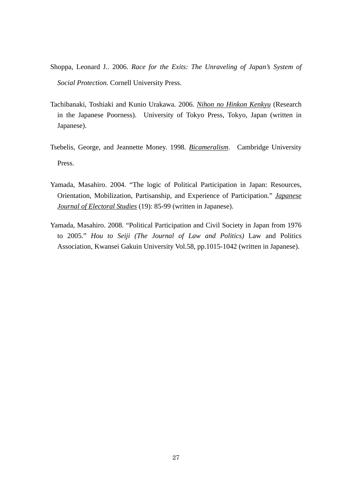- Shoppa, Leonard J.. 2006. *Race for the Exits: The Unraveling of Japan's System of Social Protection.* Cornell University Press.
- Tachibanaki, Toshiaki and Kunio Urakawa. 2006. *Nihon no Hinkon Kenkyu* (Research in the Japanese Poorness). University of Tokyo Press, Tokyo, Japan (written in Japanese).
- Tsebelis, George, and Jeannette Money. 1998. *Bicameralism*. Cambridge University Press.
- Yamada, Masahiro. 2004. "The logic of Political Participation in Japan: Resources, Orientation, Mobilization, Partisanship, and Experience of Participation." *Japanese Journal of Electoral Studies* (19): 85-99 (written in Japanese).
- Yamada, Masahiro. 2008. "Political Participation and Civil Society in Japan from 1976 to 2005." *Hou to Seiji (The Journal of Law and Politics)* Law and Politics Association, Kwansei Gakuin University Vol.58, pp.1015-1042 (written in Japanese).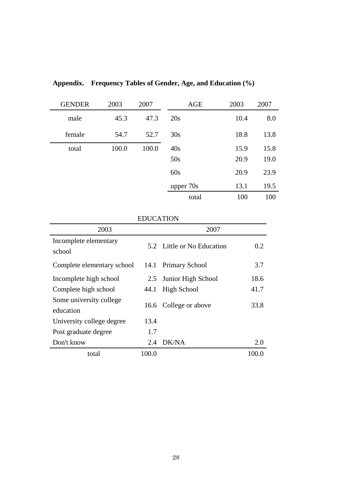| <b>GENDER</b> | 2003  | 2007  | <b>AGE</b> | 2003 | 2007 |
|---------------|-------|-------|------------|------|------|
| male          | 45.3  | 47.3  | 20s        | 10.4 | 8.0  |
| female        | 54.7  | 52.7  | 30s        | 18.8 | 13.8 |
| total         | 100.0 | 100.0 | 40s        | 15.9 | 15.8 |
|               |       |       | 50s        | 20.9 | 19.0 |
|               |       |       | 60s        | 20.9 | 23.9 |
|               |       |       | upper 70s  | 13.1 | 19.5 |
|               |       |       | total      | 100  | 100  |

**Appendix. Frequency Tables of Gender, Age, and Education (%)** 

| 2003                                 |       | 2007                       |      |
|--------------------------------------|-------|----------------------------|------|
| Incomplete elementary<br>school      |       | 5.2 Little or No Education | 0.2  |
| Complete elementary school           | 14.1  | <b>Primary School</b>      | 3.7  |
| Incomplete high school               | 2.5   | Junior High School         | 18.6 |
| Complete high school                 | 44.1  | High School                | 41.7 |
| Some university college<br>education | 16.6  | College or above           | 33.8 |
| University college degree            | 13.4  |                            |      |
| Post graduate degree                 | 1.7   |                            |      |
| Don't know                           | 2.4   | DK/NA                      | 2.0  |
| total                                | 100.0 |                            |      |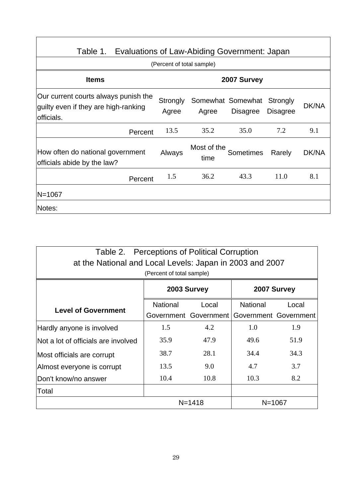| Table 1. Evaluations of Law-Abiding Government: Japan                                      |                           |                     |                                      |                             |       |  |  |  |
|--------------------------------------------------------------------------------------------|---------------------------|---------------------|--------------------------------------|-----------------------------|-------|--|--|--|
|                                                                                            | (Percent of total sample) |                     |                                      |                             |       |  |  |  |
| <b>Items</b>                                                                               |                           | 2007 Survey         |                                      |                             |       |  |  |  |
| Our current courts always punish the<br>guilty even if they are high-ranking<br>officials. | Strongly<br>Agree         | Agree               | Somewhat Somewhat<br><b>Disagree</b> | Strongly<br><b>Disagree</b> | DK/NA |  |  |  |
| Percent                                                                                    | 13.5                      | 35.2                | 35.0                                 | 7.2                         | 9.1   |  |  |  |
| How often do national government<br>officials abide by the law?                            | Always                    | Most of the<br>time | <b>Sometimes</b>                     | Rarely                      | DK/NA |  |  |  |
| Percent                                                                                    | 1.5                       | 36.2                | 43.3                                 | 11.0                        | 8.1   |  |  |  |
| N=1067                                                                                     |                           |                     |                                      |                             |       |  |  |  |
| Notes:                                                                                     |                           |                     |                                      |                             |       |  |  |  |

٦

| Table 2. Perceptions of Political Corruption<br>at the National and Local Levels: Japan in 2003 and 2007<br>(Percent of total sample) |                            |                       |                 |                       |  |  |  |  |
|---------------------------------------------------------------------------------------------------------------------------------------|----------------------------|-----------------------|-----------------|-----------------------|--|--|--|--|
|                                                                                                                                       | 2007 Survey<br>2003 Survey |                       |                 |                       |  |  |  |  |
|                                                                                                                                       | <b>National</b>            | Local                 | <b>National</b> | Local                 |  |  |  |  |
| <b>Level of Government</b>                                                                                                            |                            | Government Government |                 | Government Government |  |  |  |  |
| Hardly anyone is involved                                                                                                             | 1.5                        | 4.2                   | 1.0             | 1.9                   |  |  |  |  |
| Not a lot of officials are involved                                                                                                   | 35.9                       | 47.9                  | 49.6            | 51.9                  |  |  |  |  |
| Most officials are corrupt                                                                                                            | 38.7                       | 28.1                  | 34.4            | 34.3                  |  |  |  |  |
| Almost everyone is corrupt                                                                                                            | 13.5                       | 9.0                   | 4.7             | 3.7                   |  |  |  |  |
| Don't know/no answer                                                                                                                  | 10.3                       | 8.2                   |                 |                       |  |  |  |  |
| Total                                                                                                                                 |                            |                       |                 |                       |  |  |  |  |
| N=1418<br>$N = 1067$                                                                                                                  |                            |                       |                 |                       |  |  |  |  |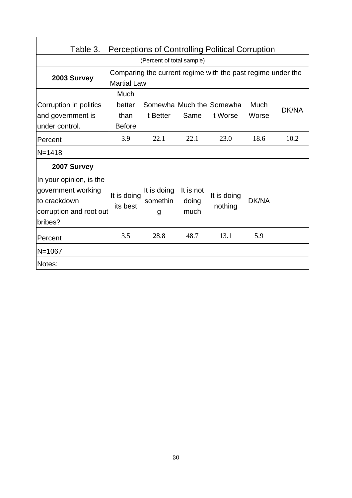| <b>Perceptions of Controlling Political Corruption</b><br>Table 3.                                   |                                         |                                                             |                            |                                     |               |              |  |  |
|------------------------------------------------------------------------------------------------------|-----------------------------------------|-------------------------------------------------------------|----------------------------|-------------------------------------|---------------|--------------|--|--|
| (Percent of total sample)                                                                            |                                         |                                                             |                            |                                     |               |              |  |  |
| 2003 Survey                                                                                          | <b>Martial Law</b>                      | Comparing the current regime with the past regime under the |                            |                                     |               |              |  |  |
| Corruption in politics<br>and government is<br>under control.                                        | Much<br>better<br>than<br><b>Before</b> | t Better                                                    | Same                       | Somewha Much the Somewha<br>t Worse | Much<br>Worse | <b>DK/NA</b> |  |  |
| Percent                                                                                              | 3.9                                     | 22.1                                                        | 22.1                       | 23.0                                | 18.6          | 10.2         |  |  |
| $N = 1418$                                                                                           |                                         |                                                             |                            |                                     |               |              |  |  |
| 2007 Survey                                                                                          |                                         |                                                             |                            |                                     |               |              |  |  |
| In your opinion, is the<br>government working<br>lto crackdown<br>corruption and root out<br>bribes? | It is doing<br>its best                 | It is doing<br>somethin<br>g                                | It is not<br>doing<br>much | It is doing<br>nothing              | DK/NA         |              |  |  |
| Percent                                                                                              | 3.5                                     | 28.8                                                        | 48.7                       | 13.1                                | 5.9           |              |  |  |
| N=1067                                                                                               |                                         |                                                             |                            |                                     |               |              |  |  |
| Notes:                                                                                               |                                         |                                                             |                            |                                     |               |              |  |  |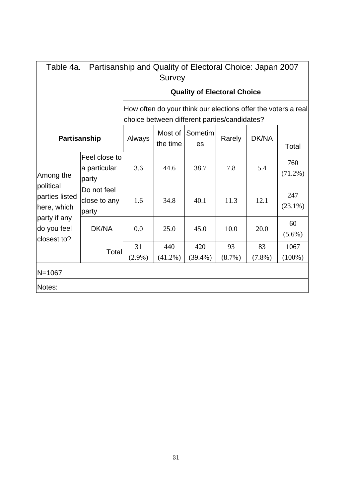|                                            | Partisanship and Quality of Electoral Choice: Japan 2007<br>Table 4a. |           |                                                                                                               |                                    |        |           |                   |  |  |
|--------------------------------------------|-----------------------------------------------------------------------|-----------|---------------------------------------------------------------------------------------------------------------|------------------------------------|--------|-----------|-------------------|--|--|
|                                            | Survey                                                                |           |                                                                                                               |                                    |        |           |                   |  |  |
|                                            |                                                                       |           |                                                                                                               | <b>Quality of Electoral Choice</b> |        |           |                   |  |  |
|                                            |                                                                       |           | How often do your think our elections offer the voters a real<br>choice between different parties/candidates? |                                    |        |           |                   |  |  |
| Partisanship                               |                                                                       | Always    | Most of<br>the time                                                                                           | Sometim<br>es                      | Rarely | DK/NA     | Total             |  |  |
| Among the                                  | Feel close to<br>a particular<br>party                                | 3.6       | 44.6                                                                                                          | 38.7                               | 7.8    | 5.4       | 760<br>$(71.2\%)$ |  |  |
| political<br>parties listed<br>here, which | Do not feel<br>close to any<br>party                                  | 1.6       | 34.8                                                                                                          | 40.1                               | 11.3   | 12.1      | 247<br>$(23.1\%)$ |  |  |
| party if any<br>do you feel<br>closest to? | DK/NA                                                                 | 0.0       | 25.0                                                                                                          | 45.0                               | 10.0   | 20.0      | 60<br>$(5.6\%)$   |  |  |
|                                            | Total                                                                 | 31        | 440                                                                                                           | 420                                | 93     | 83        | 1067              |  |  |
|                                            |                                                                       | $(2.9\%)$ | $(41.2\%)$                                                                                                    | $(39.4\%)$                         | (8.7%) | $(7.8\%)$ | $(100\%)$         |  |  |
| N=1067                                     |                                                                       |           |                                                                                                               |                                    |        |           |                   |  |  |
| Notes:                                     |                                                                       |           |                                                                                                               |                                    |        |           |                   |  |  |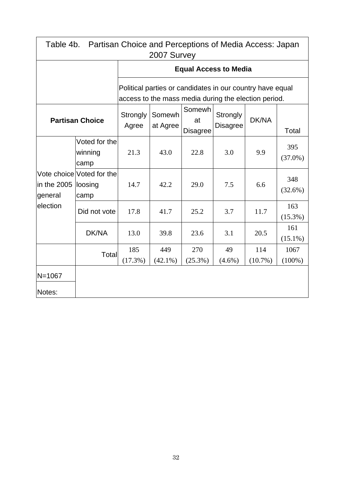| Table 4b. Partisan Choice and Perceptions of Media Access: Japan<br>2007 Survey |                                              |                   |                                                                                                                   |                                 |                                    |                   |                   |  |  |  |
|---------------------------------------------------------------------------------|----------------------------------------------|-------------------|-------------------------------------------------------------------------------------------------------------------|---------------------------------|------------------------------------|-------------------|-------------------|--|--|--|
|                                                                                 |                                              |                   |                                                                                                                   |                                 | <b>Equal Access to Media</b>       |                   |                   |  |  |  |
|                                                                                 |                                              |                   | Political parties or candidates in our country have equal<br>access to the mass media during the election period. |                                 |                                    |                   |                   |  |  |  |
| <b>Partisan Choice</b>                                                          |                                              | Strongly<br>Agree | Somewh<br>at Agree                                                                                                | Somewh<br>at<br><b>Disagree</b> | <b>Strongly</b><br><b>Disagree</b> |                   | Total             |  |  |  |
|                                                                                 | Voted for the<br>winning<br>camp             | 21.3              | 43.0                                                                                                              | 22.8                            | 3.0                                | 9.9               | 395<br>$(37.0\%)$ |  |  |  |
| in the 2005<br>general                                                          | Vote choice Voted for the<br>loosing<br>camp | 14.7              | 42.2                                                                                                              | 29.0                            | 7.5                                | 6.6               | 348<br>$(32.6\%)$ |  |  |  |
| election                                                                        | Did not vote                                 | 17.8              | 41.7                                                                                                              | 25.2                            | 3.7                                | 11.7              | 163<br>$(15.3\%)$ |  |  |  |
|                                                                                 | DK/NA                                        | 13.0              | 39.8                                                                                                              | 23.6                            | 3.1                                | 20.5              | 161<br>$(15.1\%)$ |  |  |  |
|                                                                                 | Total                                        | 185<br>(17.3%)    | 449<br>$(42.1\%)$                                                                                                 | 270<br>$(25.3\%)$               | 49<br>$(4.6\%)$                    | 114<br>$(10.7\%)$ | 1067<br>$(100\%)$ |  |  |  |
| $N = 1067$<br>Notes:                                                            |                                              |                   |                                                                                                                   |                                 |                                    |                   |                   |  |  |  |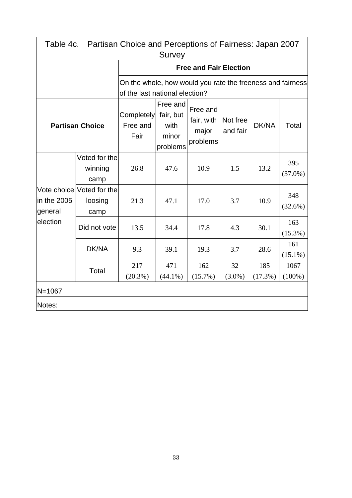|                        | Table 4c. Partisan Choice and Perceptions of Fairness: Japan 2007<br>Survey |                                                                                              |                                                    |                                             |                      |                |                   |  |  |  |
|------------------------|-----------------------------------------------------------------------------|----------------------------------------------------------------------------------------------|----------------------------------------------------|---------------------------------------------|----------------------|----------------|-------------------|--|--|--|
|                        |                                                                             |                                                                                              |                                                    | <b>Free and Fair Election</b>               |                      |                |                   |  |  |  |
|                        |                                                                             | On the whole, how would you rate the freeness and fairness<br>of the last national election? |                                                    |                                             |                      |                |                   |  |  |  |
| <b>Partisan Choice</b> |                                                                             | <b>Completely</b><br>Free and<br>Fair                                                        | Free and<br>fair, but<br>with<br>minor<br>problems | Free and<br>fair, with<br>major<br>problems | Not free<br>and fair | DK/NA          | Total             |  |  |  |
|                        | Voted for the<br>winning<br>camp                                            | 26.8                                                                                         | 47.6                                               | 10.9                                        | 1.5                  | 13.2           | 395<br>$(37.0\%)$ |  |  |  |
| in the 2005<br>general | Vote choice Voted for the<br>loosing<br>camp                                | 21.3                                                                                         | 47.1                                               | 17.0                                        | 3.7                  | 10.9           | 348<br>$(32.6\%)$ |  |  |  |
| election               | Did not vote                                                                | 13.5                                                                                         | 34.4                                               | 17.8                                        | 4.3                  | 30.1           | 163<br>$(15.3\%)$ |  |  |  |
|                        | DK/NA                                                                       | 9.3                                                                                          | 39.1                                               | 19.3                                        | 3.7                  | 28.6           | 161<br>$(15.1\%)$ |  |  |  |
|                        | Total                                                                       | 217<br>$(20.3\%)$                                                                            | 471<br>$(44.1\%)$                                  | 162<br>$(15.7\%)$                           | 32<br>$(3.0\%)$      | 185<br>(17.3%) | 1067<br>$(100\%)$ |  |  |  |
| $N = 1067$             |                                                                             |                                                                                              |                                                    |                                             |                      |                |                   |  |  |  |
| Notes:                 |                                                                             |                                                                                              |                                                    |                                             |                      |                |                   |  |  |  |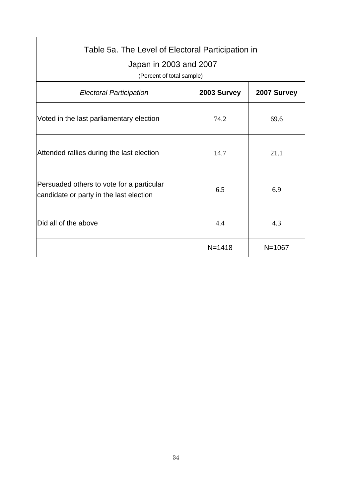| Table 5a. The Level of Electoral Participation in<br>Japan in 2003 and 2007<br>(Percent of total sample) |             |             |  |  |  |  |  |
|----------------------------------------------------------------------------------------------------------|-------------|-------------|--|--|--|--|--|
| <b>Electoral Participation</b>                                                                           | 2003 Survey | 2007 Survey |  |  |  |  |  |
| Voted in the last parliamentary election                                                                 | 74.2        | 69.6        |  |  |  |  |  |
| Attended rallies during the last election                                                                | 14.7        | 21.1        |  |  |  |  |  |
| Persuaded others to vote for a particular<br>candidate or party in the last election                     | 6.5         | 6.9         |  |  |  |  |  |
| Did all of the above                                                                                     | 4.4         | 4.3         |  |  |  |  |  |
|                                                                                                          | $N = 1418$  | $N = 1067$  |  |  |  |  |  |

 $\mathbf{r}$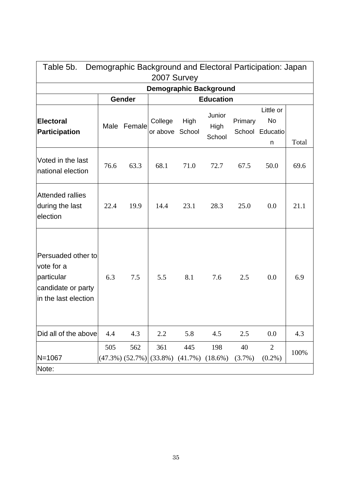| Demographic Background and Electoral Participation: Japan<br>Table 5b.<br>2007 Survey        |      |                              |                            |                              |                          |                 |                                         |       |  |
|----------------------------------------------------------------------------------------------|------|------------------------------|----------------------------|------------------------------|--------------------------|-----------------|-----------------------------------------|-------|--|
| <b>Demographic Background</b>                                                                |      |                              |                            |                              |                          |                 |                                         |       |  |
|                                                                                              |      | Gender                       |                            |                              | <b>Education</b>         |                 |                                         |       |  |
| <b>Electoral</b><br><b>Participation</b>                                                     |      | Male Female                  | College<br>or above School | High                         | Junior<br>High<br>School | Primary         | Little or<br>No<br>School Educatio<br>n | Total |  |
| Voted in the last<br>national election                                                       | 76.6 | 63.3                         | 68.1                       | 71.0                         | 72.7                     | 67.5            | 50.0                                    | 69.6  |  |
| <b>Attended rallies</b><br>during the last<br>election                                       | 22.4 | 19.9                         | 14.4                       | 23.1                         | 28.3                     | 25.0            | 0.0                                     | 21.1  |  |
| Persuaded other to<br>vote for a<br>particular<br>candidate or party<br>in the last election | 6.3  | 7.5                          | 5.5                        | 8.1                          | 7.6                      | 2.5             | 0.0                                     | 6.9   |  |
| Did all of the above                                                                         | 4.4  | 4.3                          | 2.2                        | 5.8                          | 4.5                      | 2.5             | 0.0                                     | 4.3   |  |
| $N = 1067$                                                                                   | 505  | 562<br>$(47.3\%)$ $(52.7\%)$ | 361<br>$(33.8\%)$          | 445<br>$(41.7\%)$ $(18.6\%)$ | 198                      | 40<br>$(3.7\%)$ | $\overline{2}$<br>$(0.2\%)$             | 100%  |  |
| Note:                                                                                        |      |                              |                            |                              |                          |                 |                                         |       |  |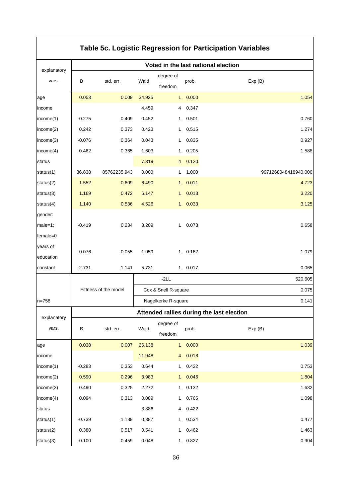| Table 5c. Logistic Regression for Participation Variables |          |                       |        |                      |       |                                           |  |
|-----------------------------------------------------------|----------|-----------------------|--------|----------------------|-------|-------------------------------------------|--|
| explanatory                                               |          |                       |        |                      |       | Voted in the last national election       |  |
| vars.                                                     | В        | std. err.             | Wald   | degree of            | prob. | Exp(B)                                    |  |
|                                                           |          |                       |        | freedom              |       |                                           |  |
| age                                                       | 0.053    | 0.009                 | 34.925 | $\mathbf{1}$         | 0.000 | 1.054                                     |  |
| income                                                    |          |                       | 4.459  | 4                    | 0.347 |                                           |  |
| income(1)                                                 | $-0.275$ | 0.409                 | 0.452  | 1                    | 0.501 | 0.760                                     |  |
| income(2)                                                 | 0.242    | 0.373                 | 0.423  | 1                    | 0.515 | 1.274                                     |  |
| income(3)                                                 | $-0.076$ | 0.364                 | 0.043  | 1                    | 0.835 | 0.927                                     |  |
| income(4)                                                 | 0.462    | 0.365                 | 1.603  | 1                    | 0.205 | 1.588                                     |  |
| status                                                    |          |                       | 7.319  | 4                    | 0.120 |                                           |  |
| status(1)                                                 | 36.838   | 85762235.943          | 0.000  | 1                    | 1.000 | 9971268048418940.000                      |  |
| status(2)                                                 | 1.552    | 0.609                 | 6.490  | $\mathbf{1}$         | 0.011 | 4.723                                     |  |
| status(3)                                                 | 1.169    | 0.472                 | 6.147  | 1                    | 0.013 | 3.220                                     |  |
| status(4)                                                 | 1.140    | 0.536                 | 4.526  | $\mathbf{1}$         | 0.033 | 3.125                                     |  |
| gender:                                                   |          |                       |        |                      |       |                                           |  |
| male=1;                                                   | $-0.419$ | 0.234                 | 3.209  | 1.                   | 0.073 | 0.658                                     |  |
| female=0                                                  |          |                       |        |                      |       |                                           |  |
| years of                                                  | 0.076    | 0.055                 | 1.959  | 1                    | 0.162 | 1.079                                     |  |
| education                                                 |          |                       |        |                      |       |                                           |  |
| constant                                                  | $-2.731$ | 1.141                 | 5.731  | 1.                   | 0.017 | 0.065                                     |  |
|                                                           |          |                       |        | $-2LL$               |       | 520.605                                   |  |
|                                                           |          | Fittness of the model |        | Cox & Snell R-square |       | 0.075                                     |  |
| $n = 758$                                                 |          |                       |        | Nagelkerke R-square  |       | 0.141                                     |  |
|                                                           |          |                       |        |                      |       | Attended rallies during the last election |  |
| explanatory                                               |          | std. err.             | Wald   | degree of            |       |                                           |  |
| vars.                                                     | В        |                       |        | freedom              | prob. | Exp(B)                                    |  |
| age                                                       | 0.038    | 0.007                 | 26.138 | $\mathbf{1}$         | 0.000 | 1.039                                     |  |
| income                                                    |          |                       | 11.948 | $\overline{4}$       | 0.018 |                                           |  |
| income(1)                                                 | $-0.283$ | 0.353                 | 0.644  | 1.                   | 0.422 | 0.753                                     |  |
| income(2)                                                 | 0.590    | 0.296                 | 3.983  | 1                    | 0.046 | 1.804                                     |  |
| income(3)                                                 | 0.490    | 0.325                 | 2.272  | 1.                   | 0.132 | 1.632                                     |  |
| income(4)                                                 | 0.094    | 0.313                 | 0.089  | 1.                   | 0.765 | 1.098                                     |  |
| status                                                    |          |                       | 3.886  | 4                    | 0.422 |                                           |  |
| status $(1)$                                              | $-0.739$ | 1.189                 | 0.387  | 1.                   | 0.534 | 0.477                                     |  |
| status(2)                                                 | 0.380    | 0.517                 | 0.541  | 1                    | 0.462 | 1.463                                     |  |
| status(3)                                                 | $-0.100$ | 0.459                 | 0.048  | 1                    | 0.827 | 0.904                                     |  |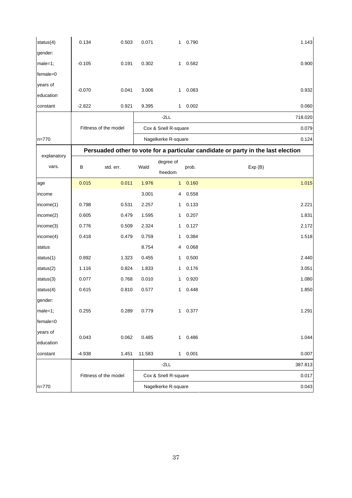| status(4)   | 0.134    | 0.503                 | 0.071  | 1                    | 0.790   | 1.143                                                                            |
|-------------|----------|-----------------------|--------|----------------------|---------|----------------------------------------------------------------------------------|
| gender:     |          |                       |        |                      |         |                                                                                  |
| $male=1;$   | $-0.105$ | 0.191                 | 0.302  | $\mathbf{1}$         | 0.582   | 0.900                                                                            |
| female=0    |          |                       |        |                      |         |                                                                                  |
| years of    | $-0.070$ | 0.041                 | 3.006  | 1                    | 0.083   | 0.932                                                                            |
| education   |          |                       |        |                      |         |                                                                                  |
| constant    | $-2.822$ | 0.921                 | 9.395  | 1                    | 0.002   | 0.060                                                                            |
|             |          |                       |        | $-2LL$               |         | 718.020                                                                          |
|             |          | Fittness of the model |        | Cox & Snell R-square |         | 0.079                                                                            |
| $n = 770$   |          |                       |        | Nagelkerke R-square  |         | 0.124                                                                            |
|             |          |                       |        |                      |         | Persuaded other to vote for a particular candidate or party in the last election |
| explanatory |          |                       |        | degree of            |         |                                                                                  |
| vars.       | B        | std. err.             | Wald   | freedom              | prob.   | Exp(B)                                                                           |
| age         | 0.015    | 0.011                 | 1.976  | 1                    | 0.160   | 1.015                                                                            |
| income      |          |                       | 3.001  | 4                    | 0.558   |                                                                                  |
| income(1)   | 0.798    | 0.531                 | 2.257  | 1                    | 0.133   | 2.221                                                                            |
| income(2)   | 0.605    | 0.479                 | 1.595  | 1                    | 0.207   | 1.831                                                                            |
| income(3)   | 0.776    | 0.509                 | 2.324  | 1                    | 0.127   | 2.172                                                                            |
| income(4)   | 0.418    | 0.479                 | 0.759  | 1                    | 0.384   | 1.518                                                                            |
| status      |          |                       | 8.754  | 4                    | 0.068   |                                                                                  |
| status(1)   | 0.892    | 1.323                 | 0.455  | 1                    | 0.500   | 2.440                                                                            |
| status(2)   | 1.116    | 0.824                 | 1.833  | 1                    | 0.176   | 3.051                                                                            |
| status(3)   | 0.077    | 0.768                 | 0.010  | 1                    | 0.920   | 1.080                                                                            |
| status(4)   | 0.615    | 0.810                 | 0.577  | 1                    | 0.448   | 1.850                                                                            |
| gender:     |          |                       |        |                      |         |                                                                                  |
| $male=1;$   | 0.255    | 0.289                 | 0.779  |                      | 1 0.377 | 1.291                                                                            |
| female=0    |          |                       |        |                      |         |                                                                                  |
| years of    | 0.043    | 0.062                 | 0.485  | $\mathbf{1}$         | 0.486   | 1.044                                                                            |
| education   |          |                       |        |                      |         |                                                                                  |
| constant    | $-4.938$ | 1.451                 | 11.583 | 1                    | 0.001   | 0.007                                                                            |
|             |          |                       |        | $-2LL$               |         | 387.813                                                                          |
|             |          | Fittness of the model |        | Cox & Snell R-square |         | 0.017                                                                            |
| $n = 770$   |          |                       |        | Nagelkerke R-square  |         | 0.043                                                                            |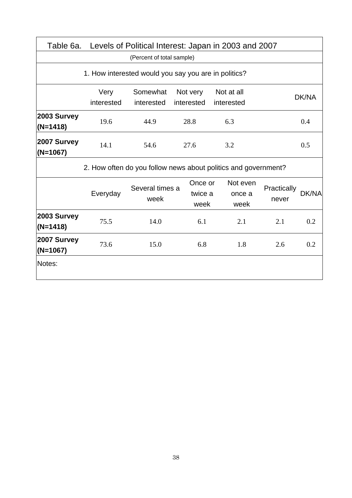| Table 6a.                 |                    |                                                      |      |                            | Levels of Political Interest: Japan in 2003 and 2007           |                      |       |
|---------------------------|--------------------|------------------------------------------------------|------|----------------------------|----------------------------------------------------------------|----------------------|-------|
|                           |                    | (Percent of total sample)                            |      |                            |                                                                |                      |       |
|                           |                    | 1. How interested would you say you are in politics? |      |                            |                                                                |                      |       |
|                           | Very<br>interested | Somewhat<br>interested                               |      | Not very<br>interested     | Not at all<br>interested                                       |                      | DK/NA |
| 2003 Survey<br>$(N=1418)$ | 19.6               | 44.9                                                 | 28.8 |                            | 6.3                                                            |                      | 0.4   |
| 2007 Survey<br>$(N=1067)$ | 14.1               | 54.6                                                 |      | 27.6                       | 3.2                                                            |                      | 0.5   |
|                           |                    |                                                      |      |                            | 2. How often do you follow news about politics and government? |                      |       |
|                           | Everyday           | Several times a<br>week                              |      | Once or<br>twice a<br>week | Not even<br>once a<br>week                                     | Practically<br>never | DK/NA |
| 2003 Survey<br>$(N=1418)$ | 75.5               | 14.0                                                 |      | 6.1                        | 2.1                                                            | 2.1                  | 0.2   |
| 2007 Survey<br>$(N=1067)$ | 73.6               | 15.0                                                 |      | 6.8                        | 1.8                                                            | 2.6                  | 0.2   |
| Notes:                    |                    |                                                      |      |                            |                                                                |                      |       |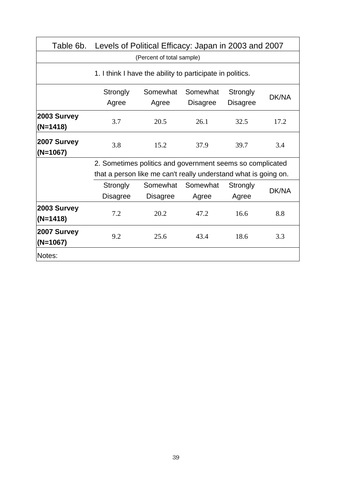| Table 6b.                 |                   |                                                           |                             |                                                                                                                                                                                                                                                  |       |
|---------------------------|-------------------|-----------------------------------------------------------|-----------------------------|--------------------------------------------------------------------------------------------------------------------------------------------------------------------------------------------------------------------------------------------------|-------|
|                           |                   | (Percent of total sample)                                 |                             |                                                                                                                                                                                                                                                  |       |
|                           |                   | 1. I think I have the ability to participate in politics. |                             |                                                                                                                                                                                                                                                  |       |
|                           | Strongly<br>Agree | Somewhat<br>Agree                                         | Somewhat<br><b>Disagree</b> | Strongly<br><b>Disagree</b>                                                                                                                                                                                                                      | DK/NA |
| 2003 Survey<br>$(N=1418)$ | 3.7               | 20.5                                                      | 26.1                        | 32.5                                                                                                                                                                                                                                             | 17.2  |
| 2007 Survey<br>$(N=1067)$ | 3.8               | 15.2                                                      | 37.9                        | 39.7                                                                                                                                                                                                                                             | 3.4   |
|                           |                   |                                                           |                             |                                                                                                                                                                                                                                                  |       |
|                           |                   |                                                           |                             |                                                                                                                                                                                                                                                  |       |
|                           | Strongly          | Somewhat                                                  | Somewhat                    | Levels of Political Efficacy: Japan in 2003 and 2007<br>2. Sometimes politics and government seems so complicated<br>that a person like me can't really understand what is going on.<br>Strongly<br>DK/NA<br>Agree<br>8.8<br>16.6<br>18.6<br>3.3 |       |
|                           | <b>Disagree</b>   | <b>Disagree</b>                                           | Agree                       |                                                                                                                                                                                                                                                  |       |
| 2003 Survey<br>$(N=1418)$ | 7.2               | 20.2                                                      | 47.2                        |                                                                                                                                                                                                                                                  |       |
| 2007 Survey<br>$(N=1067)$ | 9.2               | 25.6                                                      | 43.4                        |                                                                                                                                                                                                                                                  |       |
| Notes:                    |                   |                                                           |                             |                                                                                                                                                                                                                                                  |       |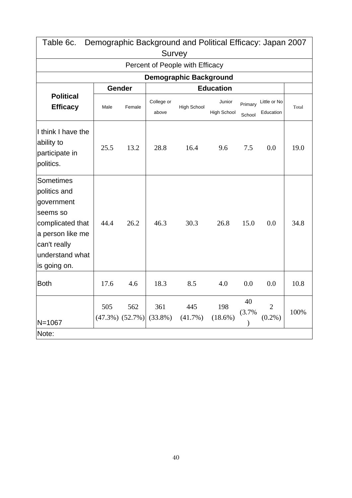| Table 6c.                                                                                                                                      |      |                              | <b>Survey</b>       | Demographic Background and Political Efficacy: Japan 2007 |                              |                   |                             |       |
|------------------------------------------------------------------------------------------------------------------------------------------------|------|------------------------------|---------------------|-----------------------------------------------------------|------------------------------|-------------------|-----------------------------|-------|
|                                                                                                                                                |      |                              |                     | Percent of People with Efficacy                           |                              |                   |                             |       |
|                                                                                                                                                |      |                              |                     | <b>Demographic Background</b>                             |                              |                   |                             |       |
|                                                                                                                                                |      | Gender                       |                     |                                                           |                              |                   |                             |       |
| <b>Political</b><br><b>Efficacy</b>                                                                                                            | Male | Female                       | College or<br>above | <b>High School</b>                                        | Junior<br><b>High School</b> | Primary<br>School | Little or No<br>Education   | Total |
| I think I have the<br>ability to<br>participate in<br>politics.                                                                                | 25.5 | 13.2                         | 28.8                | 16.4                                                      | 9.6                          | 7.5               | 0.0                         | 19.0  |
| Sometimes<br>politics and<br>government<br>seems so<br>complicated that<br>a person like me<br>can't really<br>understand what<br>is going on. | 44.4 | 26.2                         | 46.3                | 30.3                                                      | 26.8                         | 15.0              | 0.0                         | 34.8  |
| <b>Both</b>                                                                                                                                    | 17.6 | 4.6                          | 18.3                | 8.5                                                       | 4.0                          | 0.0               | 0.0                         | 10.8  |
| N=1067<br>Note:                                                                                                                                | 505  | 562<br>$(47.3\%)$ $(52.7\%)$ | 361<br>$(33.8\%)$   | 445<br>$(41.7\%)$                                         | 198<br>$(18.6\%)$            | 40<br>(3.7%       | $\overline{2}$<br>$(0.2\%)$ | 100%  |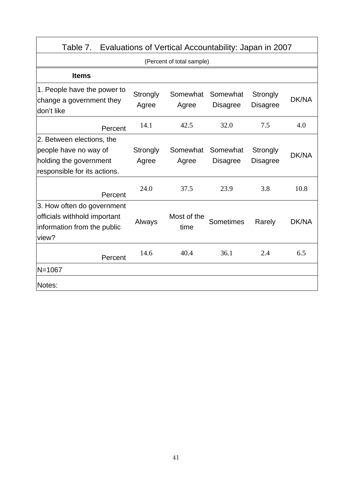| Table 7. Evaluations of Vertical Accountability: Japan in 2007                                     |                   |                           |                             |                             |              |
|----------------------------------------------------------------------------------------------------|-------------------|---------------------------|-----------------------------|-----------------------------|--------------|
|                                                                                                    |                   | (Percent of total sample) |                             |                             |              |
| <b>Items</b>                                                                                       |                   |                           |                             |                             |              |
| 1. People have the power to<br>change a government they<br>don't like                              | Strongly<br>Agree | Somewhat<br>Agree         | Somewhat<br><b>Disagree</b> | Strongly<br><b>Disagree</b> | DK/NA        |
| Percent                                                                                            | 14.1              | 42.5                      | 32.0                        | 7.5                         | 4.0          |
| 2. Between elections, the                                                                          |                   |                           |                             |                             |              |
| people have no way of                                                                              | Strongly          | Somewhat                  | Somewhat                    | Strongly                    | <b>DK/NA</b> |
| holding the government                                                                             | Agree             | Agree                     | <b>Disagree</b>             | <b>Disagree</b>             |              |
| responsible for its actions.                                                                       |                   |                           |                             |                             |              |
| Percent                                                                                            | 24.0              | 37.5                      | 23.9                        | 3.8                         | 10.8         |
| 3. How often do government<br>officials withhold important<br>information from the public<br>view? | Always            | Most of the<br>time       | <b>Sometimes</b>            | Rarely                      | DK/NA        |
| Percent                                                                                            | 14.6              | 40.4                      | 36.1                        | 2.4                         | 6.5          |
| $N = 1067$                                                                                         |                   |                           |                             |                             |              |
| Notes:                                                                                             |                   |                           |                             |                             |              |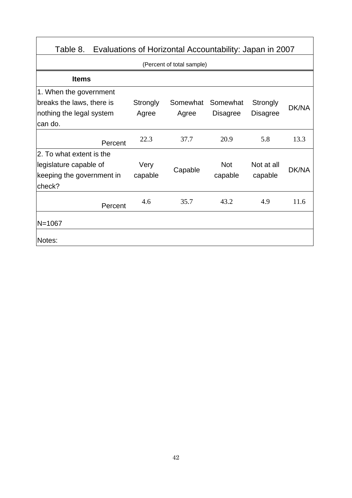| Table 8.                  |          | Evaluations of Horizontal Accountability: Japan in 2007 |                 |                 |       |
|---------------------------|----------|---------------------------------------------------------|-----------------|-----------------|-------|
|                           |          | (Percent of total sample)                               |                 |                 |       |
| <b>Items</b>              |          |                                                         |                 |                 |       |
| 1. When the government    |          |                                                         |                 |                 |       |
| breaks the laws, there is | Strongly | Somewhat                                                | Somewhat        | Strongly        | DK/NA |
| nothing the legal system  | Agree    | Agree                                                   | <b>Disagree</b> | <b>Disagree</b> |       |
| can do.                   |          |                                                         |                 |                 |       |
| Percent                   | 22.3     | 37.7                                                    | 20.9            | 5.8             | 13.3  |
| 2. To what extent is the  |          |                                                         |                 |                 |       |
| legislature capable of    | Very     |                                                         | <b>Not</b>      | Not at all      | DK/NA |
| keeping the government in | capable  | Capable                                                 | capable         | capable         |       |
| check?                    |          |                                                         |                 |                 |       |
| Percent                   | 4.6      | 35.7                                                    | 43.2            | 4.9             | 11.6  |
| $N = 1067$                |          |                                                         |                 |                 |       |
| Notes:                    |          |                                                         |                 |                 |       |

 $\overline{1}$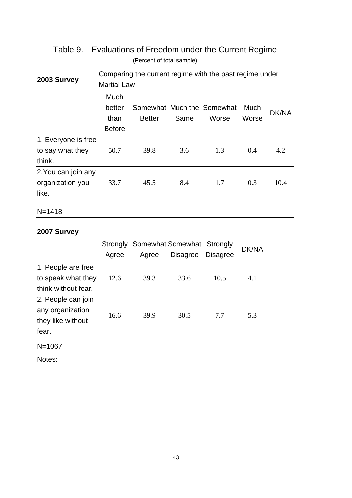| Table 9.                                                             |                       | Evaluations of Freedom under the Current Regime         |                 |                            |       |       |
|----------------------------------------------------------------------|-----------------------|---------------------------------------------------------|-----------------|----------------------------|-------|-------|
|                                                                      |                       | (Percent of total sample)                               |                 |                            |       |       |
| 2003 Survey                                                          | <b>Martial Law</b>    | Comparing the current regime with the past regime under |                 |                            |       |       |
|                                                                      | Much                  |                                                         |                 |                            |       |       |
|                                                                      | better                |                                                         |                 | Somewhat Much the Somewhat | Much  | DK/NA |
|                                                                      | than<br><b>Before</b> | <b>Better</b>                                           | Same            | Worse                      | Worse |       |
| 1. Everyone is free                                                  |                       |                                                         |                 |                            |       |       |
| to say what they<br>think.                                           | 50.7                  | 39.8                                                    | 3.6             | 1.3                        | 0.4   | 4.2   |
| 2. You can join any<br>organization you<br>like.                     | 33.7                  | 45.5                                                    | 8.4             | 1.7                        | 0.3   | 10.4  |
| $N = 1418$                                                           |                       |                                                         |                 |                            |       |       |
| <b>2007 Survey</b>                                                   |                       |                                                         |                 |                            |       |       |
|                                                                      | Agree                 | Strongly Somewhat Somewhat Strongly<br>Agree            | <b>Disagree</b> | <b>Disagree</b>            | DK/NA |       |
| 1. People are free<br>to speak what they<br>think without fear.      | 12.6                  | 39.3                                                    | 33.6            | 10.5                       | 4.1   |       |
| 2. People can join<br>any organization<br>they like without<br>fear. | 16.6                  | 39.9                                                    | 30.5            | 7.7                        | 5.3   |       |
| N=1067                                                               |                       |                                                         |                 |                            |       |       |
| Notes:                                                               |                       |                                                         |                 |                            |       |       |

 $\mathbf{r}$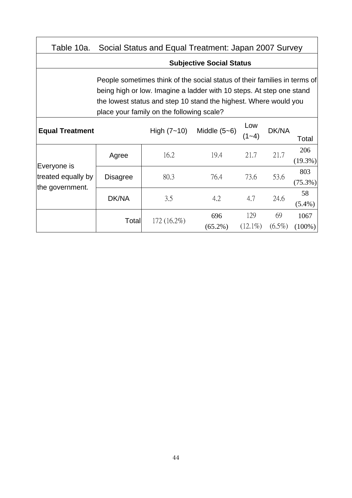| Table 10a.                        |                                                                                                                                                                                                                                                                    | Social Status and Equal Treatment: Japan 2007 Survey |                                 |                   |                 |                   |  |  |  |  |
|-----------------------------------|--------------------------------------------------------------------------------------------------------------------------------------------------------------------------------------------------------------------------------------------------------------------|------------------------------------------------------|---------------------------------|-------------------|-----------------|-------------------|--|--|--|--|
|                                   |                                                                                                                                                                                                                                                                    |                                                      | <b>Subjective Social Status</b> |                   |                 |                   |  |  |  |  |
|                                   | People sometimes think of the social status of their families in terms of<br>being high or low. Imagine a ladder with 10 steps. At step one stand<br>the lowest status and step 10 stand the highest. Where would you<br>place your family on the following scale? |                                                      |                                 |                   |                 |                   |  |  |  |  |
| <b>Equal Treatment</b>            |                                                                                                                                                                                                                                                                    | High $(7 - 10)$                                      | Middle $(5-6)$                  | Low<br>$(1 - 4)$  | DK/NA           | Total             |  |  |  |  |
|                                   | Agree                                                                                                                                                                                                                                                              | 16.2                                                 | 19.4                            | 21.7              | 21.7            | 206<br>$(19.3\%)$ |  |  |  |  |
| Everyone is<br>treated equally by | <b>Disagree</b>                                                                                                                                                                                                                                                    | 80.3                                                 | 76.4                            | 73.6              | 53.6            | 803<br>$(75.3\%)$ |  |  |  |  |
| the government.                   | DK/NA                                                                                                                                                                                                                                                              | 3.5                                                  | 4.2                             | 4.7               | 24.6            | 58<br>$(5.4\%)$   |  |  |  |  |
|                                   | Total                                                                                                                                                                                                                                                              | $172(16.2\%)$                                        | 696<br>$(65.2\%)$               | 129<br>$(12.1\%)$ | 69<br>$(6.5\%)$ | 1067<br>$(100\%)$ |  |  |  |  |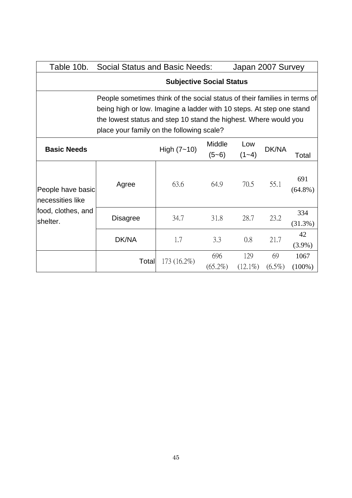| Table 10b.                                                                                                                                                                            | <b>Social Status and Basic Needs:</b>                                     |                                 |                   | Japan 2007 Survey |                 |                   |  |  |
|---------------------------------------------------------------------------------------------------------------------------------------------------------------------------------------|---------------------------------------------------------------------------|---------------------------------|-------------------|-------------------|-----------------|-------------------|--|--|
|                                                                                                                                                                                       |                                                                           | <b>Subjective Social Status</b> |                   |                   |                 |                   |  |  |
|                                                                                                                                                                                       | People sometimes think of the social status of their families in terms of |                                 |                   |                   |                 |                   |  |  |
| being high or low. Imagine a ladder with 10 steps. At step one stand<br>the lowest status and step 10 stand the highest. Where would you<br>place your family on the following scale? |                                                                           |                                 |                   |                   |                 |                   |  |  |
| <b>Basic Needs</b>                                                                                                                                                                    |                                                                           | High $(7 - 10)$                 | Middle<br>$(5-6)$ | Low<br>$(1 - 4)$  | DK/NA           | Total             |  |  |
| People have basic<br>necessities like                                                                                                                                                 | Agree                                                                     | 63.6                            | 64.9              | 70.5              | 55.1            | 691<br>$(64.8\%)$ |  |  |
| food, clothes, and<br>shelter.                                                                                                                                                        | <b>Disagree</b>                                                           | 34.7                            | 31.8              | 28.7              | 23.2            | 334<br>$(31.3\%)$ |  |  |
|                                                                                                                                                                                       | DK/NA                                                                     | 1.7                             | 3.3               | 0.8               | 21.7            | 42<br>$(3.9\%)$   |  |  |
|                                                                                                                                                                                       | Total                                                                     | 173 (16.2%)                     | 696<br>$(65.2\%)$ | 129<br>$(12.1\%)$ | 69<br>$(6.5\%)$ | 1067<br>$(100\%)$ |  |  |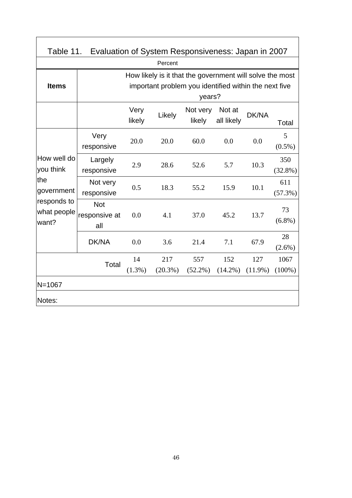| Table 11.                           | Evaluation of System Responsiveness: Japan in 2007 |                 |                   |                                                                                                                             |                      |                   |                   |
|-------------------------------------|----------------------------------------------------|-----------------|-------------------|-----------------------------------------------------------------------------------------------------------------------------|----------------------|-------------------|-------------------|
|                                     |                                                    |                 | Percent           |                                                                                                                             |                      |                   |                   |
| <b>Items</b>                        |                                                    |                 |                   | How likely is it that the government will solve the most<br>important problem you identified within the next five<br>years? |                      |                   |                   |
|                                     |                                                    | Very<br>likely  | Likely            | Not very<br>likely                                                                                                          | Not at<br>all likely | DK/NA             | Total             |
| How well do<br>you think            | Very<br>responsive                                 | 20.0            | 20.0              | 60.0                                                                                                                        | 0.0                  | 0.0               | 5<br>$(0.5\%)$    |
|                                     | Largely<br>responsive                              | 2.9             | 28.6              | 52.6                                                                                                                        | 5.7                  | 10.3              | 350<br>$(32.8\%)$ |
| the<br>government                   | Not very<br>responsive                             | 0.5             | 18.3              | 55.2                                                                                                                        | 15.9                 | 10.1              | 611<br>$(57.3\%)$ |
| responds to<br>what people<br>want? | <b>Not</b><br>responsive at<br>all                 | 0.0             | 4.1               | 37.0                                                                                                                        | 45.2                 | 13.7              | 73<br>$(6.8\%)$   |
|                                     | DK/NA                                              | 0.0             | 3.6               | 21.4                                                                                                                        | 7.1                  | 67.9              | 28<br>$(2.6\%)$   |
|                                     | Total                                              | 14<br>$(1.3\%)$ | 217<br>$(20.3\%)$ | 557<br>$(52.2\%)$                                                                                                           | 152<br>$(14.2\%)$    | 127<br>$(11.9\%)$ | 1067<br>$(100\%)$ |
| $N = 1067$<br>Notes:                |                                                    |                 |                   |                                                                                                                             |                      |                   |                   |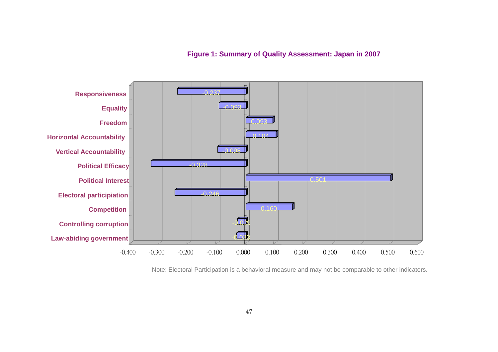**Figure 1: Summary of Quality Assessment: Japan in 2007**



Note: Electoral Participation is a behavioral measure and may not be comparable to other indicators.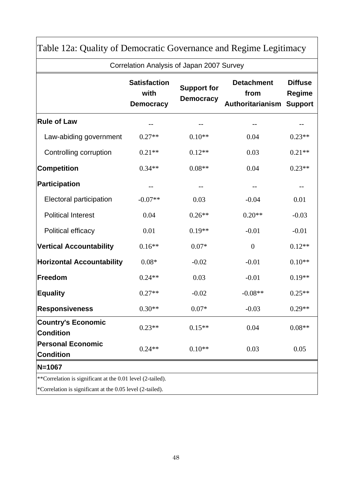|                                                                                                                         | <b>Satisfaction</b><br>with<br><b>Democracy</b> | <b>Support for</b><br><b>Democracy</b> | <b>Detachment</b>                       | <b>Diffuse</b>    |
|-------------------------------------------------------------------------------------------------------------------------|-------------------------------------------------|----------------------------------------|-----------------------------------------|-------------------|
| <b>Rule of Law</b>                                                                                                      | $\qquad \qquad -$<br>$0.27**$<br>$0.10**$       |                                        | from<br><b>Authoritarianism Support</b> | <b>Regime</b>     |
|                                                                                                                         |                                                 |                                        |                                         | --                |
| Law-abiding government                                                                                                  |                                                 |                                        | 0.04                                    | $0.23**$          |
| Controlling corruption                                                                                                  | $0.21**$                                        | $0.12**$                               | 0.03                                    | $0.21**$          |
| <b>Competition</b>                                                                                                      | $0.34**$                                        | $0.08**$                               | 0.04                                    | $0.23**$          |
| Participation                                                                                                           | $\qquad \qquad -$                               |                                        | --                                      | $\qquad \qquad -$ |
| Electoral participation                                                                                                 | $-0.07**$                                       | 0.03                                   | $-0.04$                                 | 0.01              |
| <b>Political Interest</b>                                                                                               | 0.04                                            | $0.26**$                               | $0.20**$                                | $-0.03$           |
| Political efficacy                                                                                                      | 0.01                                            | $0.19**$                               | $-0.01$                                 | $-0.01$           |
| <b>Vertical Accountability</b>                                                                                          | $0.16**$                                        | $0.07*$                                | $\boldsymbol{0}$                        | $0.12**$          |
| <b>Horizontal Accountability</b>                                                                                        | $0.08*$                                         | $-0.02$                                | $-0.01$                                 | $0.10**$          |
| Freedom                                                                                                                 | $0.24**$                                        | 0.03                                   | $-0.01$                                 | $0.19**$          |
| <b>Equality</b>                                                                                                         | $0.27**$                                        | $-0.02$                                | $-0.08**$                               | $0.25**$          |
| <b>Responsiveness</b>                                                                                                   | $0.30**$                                        | $0.07*$                                | $-0.03$                                 | $0.29**$          |
| <b>Country's Economic</b><br><b>Condition</b>                                                                           | $0.23**$                                        | $0.15**$                               | 0.04                                    | $0.08**$          |
| <b>Personal Economic</b><br><b>Condition</b>                                                                            | $0.24**$                                        | $0.10**$                               | 0.03                                    | 0.05              |
| $N = 1067$                                                                                                              |                                                 |                                        |                                         |                   |
| **Correlation is significant at the 0.01 level (2-tailed).<br>*Correlation is significant at the 0.05 level (2-tailed). |                                                 |                                        |                                         |                   |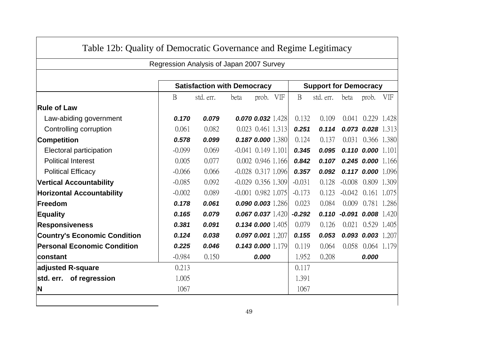|                                     | Regression Analysis of Japan 2007 Survey |           |                      |                         |  |                              |           |                      |                         |     |
|-------------------------------------|------------------------------------------|-----------|----------------------|-------------------------|--|------------------------------|-----------|----------------------|-------------------------|-----|
|                                     | <b>Satisfaction with Democracy</b>       |           |                      |                         |  | <b>Support for Democracy</b> |           |                      |                         |     |
|                                     | B                                        | std. err. | beta                 | prob. VIF               |  | $\mathbf{B}$                 | std. err. | beta                 | prob.                   | VIF |
| <b>Rule of Law</b>                  |                                          |           |                      |                         |  |                              |           |                      |                         |     |
| Law-abiding government              | 0.170                                    | 0.079     |                      | $0.070$ $0.032$ $1.428$ |  | 0.132                        | 0.109     | 0.041                | 0.229 1.428             |     |
| Controlling corruption              | 0.061                                    | 0.082     |                      | 0.023 0.461 1.313       |  | 0.251                        | 0.114     |                      | $0.073$ $0.028$ 1.313   |     |
| <b>Competition</b>                  | 0.578                                    | 0.099     |                      | 0.187 0.000 1.380       |  | 0.124                        | 0.137     |                      | 0.031 0.366 1.380       |     |
| Electoral participation             | $-0.099$                                 | 0.069     | $-0.041$ 0.149 1.101 |                         |  | 0.345                        | 0.095     |                      | $0.110$ $0.000$ $1.101$ |     |
| <b>Political Interest</b>           | 0.005                                    | 0.077     |                      | 0.002 0.946 1.166       |  | 0.842                        | 0.107     |                      | $0.245$ 0.000 1.166     |     |
| <b>Political Efficacy</b>           | $-0.066$                                 | 0.066     | $-0.028$ 0.317 1.096 |                         |  | 0.357                        | 0.092     |                      | $0.117$ 0.000 1.096     |     |
| <b>Vertical Accountability</b>      | $-0.085$                                 | 0.092     | $-0.029$ 0.356 1.309 |                         |  | $-0.031$                     | 0.128     | $-0.008$             | 0.809 1.309             |     |
| <b>Horizontal Accountability</b>    | $-0.002$                                 | 0.089     | $-0.001$ 0.982 1.075 |                         |  | $-0.173$                     | 0.123     | $-0.042$             | 0.161 1.075             |     |
| Freedom                             | 0.178                                    | 0.061     |                      | 0.090 0.003 1.286       |  | 0.023                        | 0.084     | 0.009                | 0.781 1.286             |     |
| <b>Equality</b>                     | 0.165                                    | 0.079     |                      | $0.067$ 0.037 1.420     |  | $-0.292$                     | 0.110     | $-0.091$ 0.008 1.420 |                         |     |
| <b>Responsiveness</b>               | 0.381                                    | 0.091     |                      | 0.1340.0001.405         |  | 0.079                        | 0.126     | 0.021                | 0.529 1.405             |     |
| <b>Country's Economic Condition</b> | 0.124                                    | 0.038     |                      | 0.097 0.001 1.207       |  | 0.155                        | 0.053     |                      | $0.093$ $0.003$ $1.207$ |     |
| <b>Personal Economic Condition</b>  | 0.225                                    | 0.046     |                      | $0.143$ 0.000 $1.179$   |  | 0.119                        | 0.064     | 0.058                | 0.064 1.179             |     |
| <b>constant</b>                     | $-0.984$                                 | 0.150     |                      | 0.000                   |  | 1.952                        | 0.208     |                      | 0.000                   |     |
| adjusted R-square                   | 0.213                                    |           |                      |                         |  | 0.117                        |           |                      |                         |     |
| std. err. of regression             | 1.005                                    |           |                      |                         |  | 1.391                        |           |                      |                         |     |
| <b>N</b>                            | 1067                                     |           |                      |                         |  | 1067                         |           |                      |                         |     |